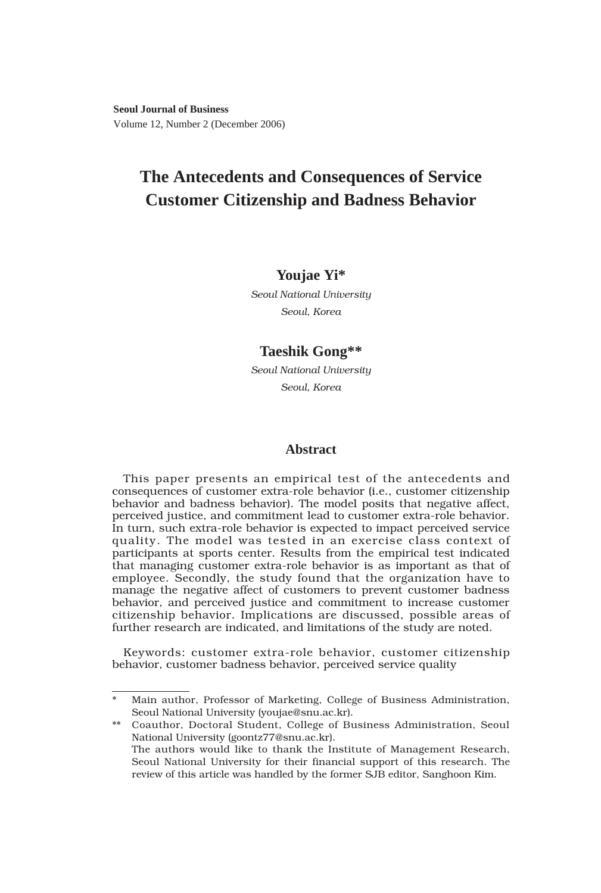**Seoul Journal of Business** Volume 12, Number 2 (December 2006)

# **The Antecedents and Consequences of Service Customer Citizenship and Badness Behavior**

# **Youjae Yi\***

*Seoul National University Seoul, Korea*

# **Taeshik Gong\*\***

*Seoul National University Seoul, Korea*

### **Abstract**

This paper presents an empirical test of the antecedents and consequences of customer extra-role behavior (i.e., customer citizenship behavior and badness behavior). The model posits that negative affect, perceived justice, and commitment lead to customer extra-role behavior. In turn, such extra-role behavior is expected to impact perceived service quality. The model was tested in an exercise class context of participants at sports center. Results from the empirical test indicated that managing customer extra-role behavior is as important as that of employee. Secondly, the study found that the organization have to manage the negative affect of customers to prevent customer badness behavior, and perceived justice and commitment to increase customer citizenship behavior. Implications are discussed, possible areas of further research are indicated, and limitations of the study are noted.

Keywords: customer extra-role behavior, customer citizenship behavior, customer badness behavior, perceived service quality

Main author, Professor of Marketing, College of Business Administration, Seoul National University (youjae@snu.ac.kr).

<sup>\*\*</sup> Coauthor, Doctoral Student, College of Business Administration, Seoul National University (goontz77@snu.ac.kr). The authors would like to thank the Institute of Management Research, Seoul National University for their financial support of this research. The review of this article was handled by the former SJB editor, Sanghoon Kim.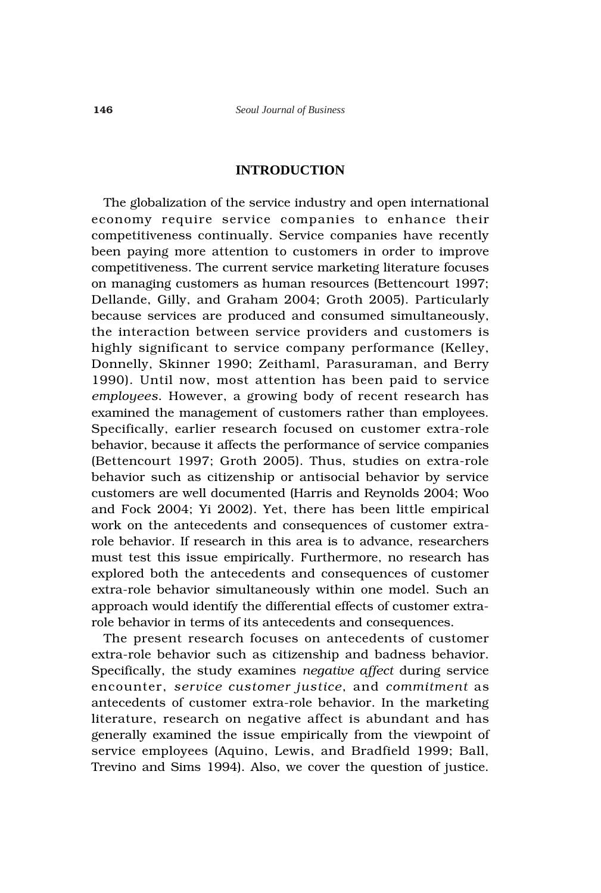# **INTRODUCTION**

The globalization of the service industry and open international economy require service companies to enhance their competitiveness continually. Service companies have recently been paying more attention to customers in order to improve competitiveness. The current service marketing literature focuses on managing customers as human resources (Bettencourt 1997; Dellande, Gilly, and Graham 2004; Groth 2005). Particularly because services are produced and consumed simultaneously, the interaction between service providers and customers is highly significant to service company performance (Kelley, Donnelly, Skinner 1990; Zeithaml, Parasuraman, and Berry 1990). Until now, most attention has been paid to service *employees*. However, a growing body of recent research has examined the management of customers rather than employees. Specifically, earlier research focused on customer extra-role behavior, because it affects the performance of service companies (Bettencourt 1997; Groth 2005). Thus, studies on extra-role behavior such as citizenship or antisocial behavior by service customers are well documented (Harris and Reynolds 2004; Woo and Fock 2004; Yi 2002). Yet, there has been little empirical work on the antecedents and consequences of customer extrarole behavior. If research in this area is to advance, researchers must test this issue empirically. Furthermore, no research has explored both the antecedents and consequences of customer extra-role behavior simultaneously within one model. Such an approach would identify the differential effects of customer extrarole behavior in terms of its antecedents and consequences.

The present research focuses on antecedents of customer extra-role behavior such as citizenship and badness behavior. Specifically, the study examines *negative affect* during service encounter, *service customer justice*, and *commitment* as antecedents of customer extra-role behavior. In the marketing literature, research on negative affect is abundant and has generally examined the issue empirically from the viewpoint of service employees (Aquino, Lewis, and Bradfield 1999; Ball, Trevino and Sims 1994). Also, we cover the question of justice.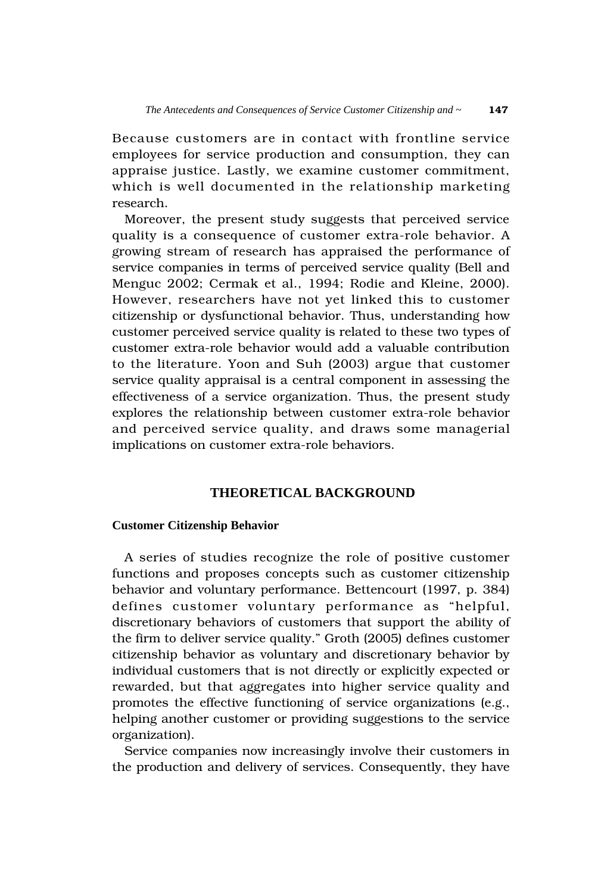Because customers are in contact with frontline service employees for service production and consumption, they can appraise justice. Lastly, we examine customer commitment, which is well documented in the relationship marketing research.

Moreover, the present study suggests that perceived service quality is a consequence of customer extra-role behavior. A growing stream of research has appraised the performance of service companies in terms of perceived service quality (Bell and Menguc 2002; Cermak et al., 1994; Rodie and Kleine, 2000). However, researchers have not yet linked this to customer citizenship or dysfunctional behavior. Thus, understanding how customer perceived service quality is related to these two types of customer extra-role behavior would add a valuable contribution to the literature. Yoon and Suh (2003) argue that customer service quality appraisal is a central component in assessing the effectiveness of a service organization. Thus, the present study explores the relationship between customer extra-role behavior and perceived service quality, and draws some managerial implications on customer extra-role behaviors.

# **THEORETICAL BACKGROUND**

### **Customer Citizenship Behavior**

A series of studies recognize the role of positive customer functions and proposes concepts such as customer citizenship behavior and voluntary performance. Bettencourt (1997, p. 384) defines customer voluntary performance as "helpful, discretionary behaviors of customers that support the ability of the firm to deliver service quality." Groth (2005) defines customer citizenship behavior as voluntary and discretionary behavior by individual customers that is not directly or explicitly expected or rewarded, but that aggregates into higher service quality and promotes the effective functioning of service organizations (e.g., helping another customer or providing suggestions to the service organization).

Service companies now increasingly involve their customers in the production and delivery of services. Consequently, they have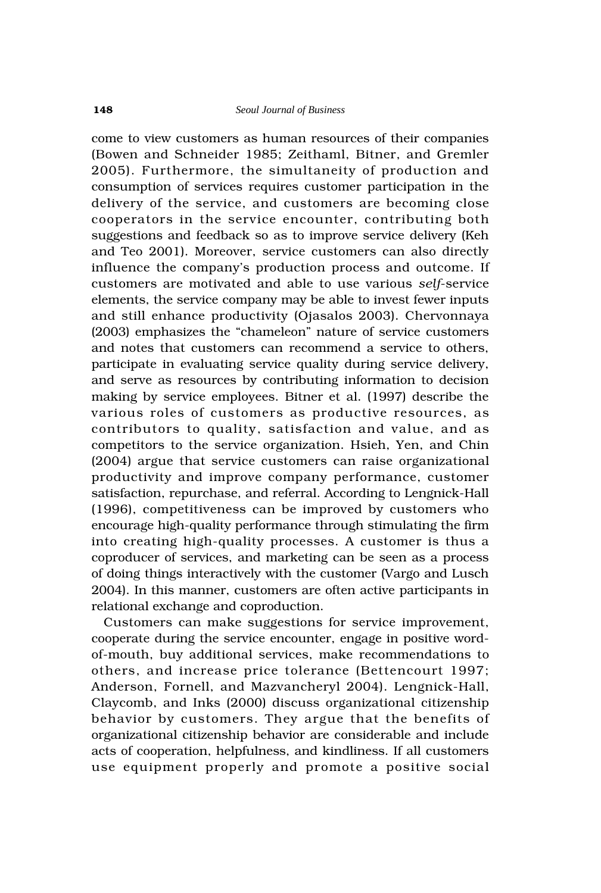come to view customers as human resources of their companies (Bowen and Schneider 1985; Zeithaml, Bitner, and Gremler 2005). Furthermore, the simultaneity of production and consumption of services requires customer participation in the delivery of the service, and customers are becoming close cooperators in the service encounter, contributing both suggestions and feedback so as to improve service delivery (Keh and Teo 2001). Moreover, service customers can also directly influence the company's production process and outcome. If customers are motivated and able to use various *self*-service elements, the service company may be able to invest fewer inputs and still enhance productivity (Ojasalos 2003). Chervonnaya (2003) emphasizes the "chameleon" nature of service customers and notes that customers can recommend a service to others, participate in evaluating service quality during service delivery, and serve as resources by contributing information to decision making by service employees. Bitner et al. (1997) describe the various roles of customers as productive resources, as contributors to quality, satisfaction and value, and as competitors to the service organization. Hsieh, Yen, and Chin (2004) argue that service customers can raise organizational productivity and improve company performance, customer satisfaction, repurchase, and referral. According to Lengnick-Hall (1996), competitiveness can be improved by customers who encourage high-quality performance through stimulating the firm into creating high-quality processes. A customer is thus a coproducer of services, and marketing can be seen as a process of doing things interactively with the customer (Vargo and Lusch 2004). In this manner, customers are often active participants in relational exchange and coproduction.

Customers can make suggestions for service improvement, cooperate during the service encounter, engage in positive wordof-mouth, buy additional services, make recommendations to others, and increase price tolerance (Bettencourt 1997; Anderson, Fornell, and Mazvancheryl 2004). Lengnick-Hall, Claycomb, and Inks (2000) discuss organizational citizenship behavior by customers. They argue that the benefits of organizational citizenship behavior are considerable and include acts of cooperation, helpfulness, and kindliness. If all customers use equipment properly and promote a positive social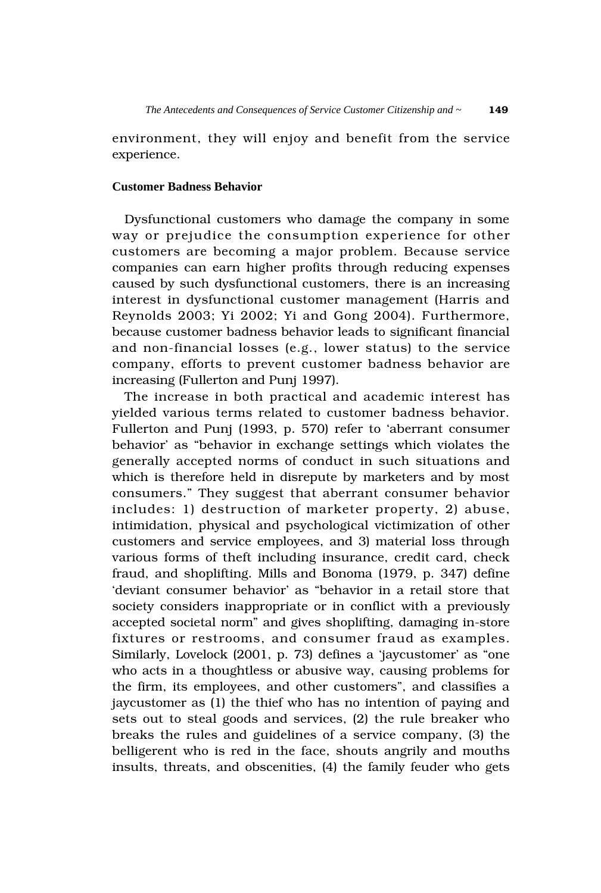environment, they will enjoy and benefit from the service experience.

#### **Customer Badness Behavior**

Dysfunctional customers who damage the company in some way or prejudice the consumption experience for other customers are becoming a major problem. Because service companies can earn higher profits through reducing expenses caused by such dysfunctional customers, there is an increasing interest in dysfunctional customer management (Harris and Reynolds 2003; Yi 2002; Yi and Gong 2004). Furthermore, because customer badness behavior leads to significant financial and non-financial losses (e.g., lower status) to the service company, efforts to prevent customer badness behavior are increasing (Fullerton and Punj 1997).

The increase in both practical and academic interest has yielded various terms related to customer badness behavior. Fullerton and Punj (1993, p. 570) refer to 'aberrant consumer behavior' as "behavior in exchange settings which violates the generally accepted norms of conduct in such situations and which is therefore held in disrepute by marketers and by most consumers." They suggest that aberrant consumer behavior includes: 1) destruction of marketer property, 2) abuse, intimidation, physical and psychological victimization of other customers and service employees, and 3) material loss through various forms of theft including insurance, credit card, check fraud, and shoplifting. Mills and Bonoma (1979, p. 347) define 'deviant consumer behavior' as "behavior in a retail store that society considers inappropriate or in conflict with a previously accepted societal norm" and gives shoplifting, damaging in-store fixtures or restrooms, and consumer fraud as examples. Similarly, Lovelock (2001, p. 73) defines a 'jaycustomer' as "one who acts in a thoughtless or abusive way, causing problems for the firm, its employees, and other customers", and classifies a jaycustomer as (1) the thief who has no intention of paying and sets out to steal goods and services, (2) the rule breaker who breaks the rules and guidelines of a service company, (3) the belligerent who is red in the face, shouts angrily and mouths insults, threats, and obscenities, (4) the family feuder who gets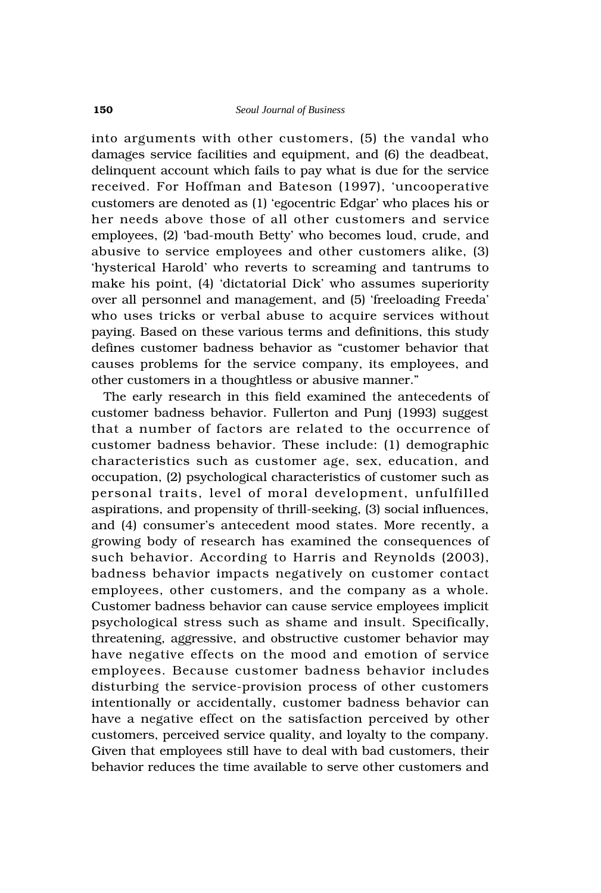into arguments with other customers, (5) the vandal who damages service facilities and equipment, and (6) the deadbeat, delinquent account which fails to pay what is due for the service received. For Hoffman and Bateson (1997), 'uncooperative customers are denoted as (1) 'egocentric Edgar' who places his or her needs above those of all other customers and service employees, (2) 'bad-mouth Betty' who becomes loud, crude, and abusive to service employees and other customers alike, (3) 'hysterical Harold' who reverts to screaming and tantrums to make his point, (4) 'dictatorial Dick' who assumes superiority over all personnel and management, and (5) 'freeloading Freeda' who uses tricks or verbal abuse to acquire services without paying. Based on these various terms and definitions, this study defines customer badness behavior as "customer behavior that causes problems for the service company, its employees, and other customers in a thoughtless or abusive manner."

The early research in this field examined the antecedents of customer badness behavior. Fullerton and Punj (1993) suggest that a number of factors are related to the occurrence of customer badness behavior. These include: (1) demographic characteristics such as customer age, sex, education, and occupation, (2) psychological characteristics of customer such as personal traits, level of moral development, unfulfilled aspirations, and propensity of thrill-seeking, (3) social influences, and (4) consumer's antecedent mood states. More recently, a growing body of research has examined the consequences of such behavior. According to Harris and Reynolds (2003), badness behavior impacts negatively on customer contact employees, other customers, and the company as a whole. Customer badness behavior can cause service employees implicit psychological stress such as shame and insult. Specifically, threatening, aggressive, and obstructive customer behavior may have negative effects on the mood and emotion of service employees. Because customer badness behavior includes disturbing the service-provision process of other customers intentionally or accidentally, customer badness behavior can have a negative effect on the satisfaction perceived by other customers, perceived service quality, and loyalty to the company. Given that employees still have to deal with bad customers, their behavior reduces the time available to serve other customers and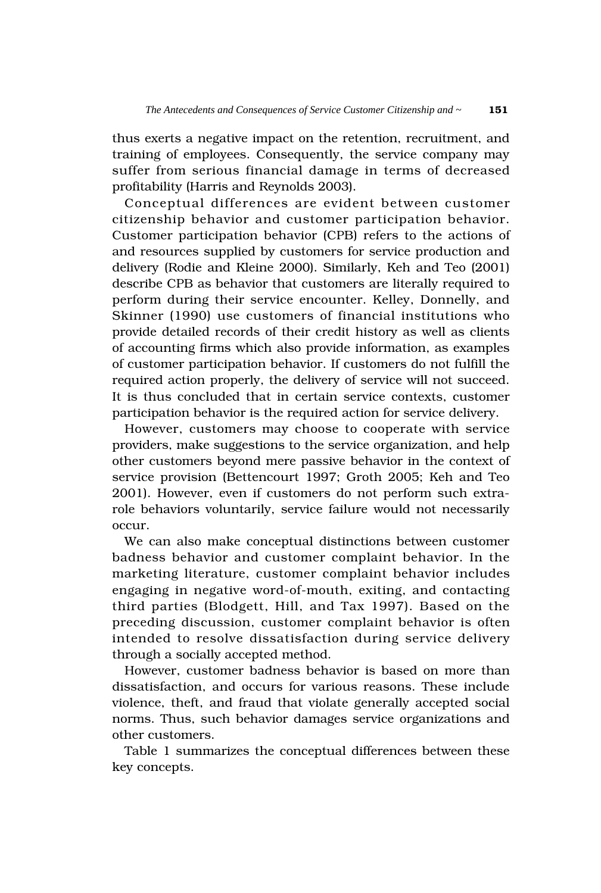thus exerts a negative impact on the retention, recruitment, and training of employees. Consequently, the service company may suffer from serious financial damage in terms of decreased profitability (Harris and Reynolds 2003).

Conceptual differences are evident between customer citizenship behavior and customer participation behavior. Customer participation behavior (CPB) refers to the actions of and resources supplied by customers for service production and delivery (Rodie and Kleine 2000). Similarly, Keh and Teo (2001) describe CPB as behavior that customers are literally required to perform during their service encounter. Kelley, Donnelly, and Skinner (1990) use customers of financial institutions who provide detailed records of their credit history as well as clients of accounting firms which also provide information, as examples of customer participation behavior. If customers do not fulfill the required action properly, the delivery of service will not succeed. It is thus concluded that in certain service contexts, customer participation behavior is the required action for service delivery.

However, customers may choose to cooperate with service providers, make suggestions to the service organization, and help other customers beyond mere passive behavior in the context of service provision (Bettencourt 1997; Groth 2005; Keh and Teo 2001). However, even if customers do not perform such extrarole behaviors voluntarily, service failure would not necessarily occur.

We can also make conceptual distinctions between customer badness behavior and customer complaint behavior. In the marketing literature, customer complaint behavior includes engaging in negative word-of-mouth, exiting, and contacting third parties (Blodgett, Hill, and Tax 1997). Based on the preceding discussion, customer complaint behavior is often intended to resolve dissatisfaction during service delivery through a socially accepted method.

However, customer badness behavior is based on more than dissatisfaction, and occurs for various reasons. These include violence, theft, and fraud that violate generally accepted social norms. Thus, such behavior damages service organizations and other customers.

Table 1 summarizes the conceptual differences between these key concepts.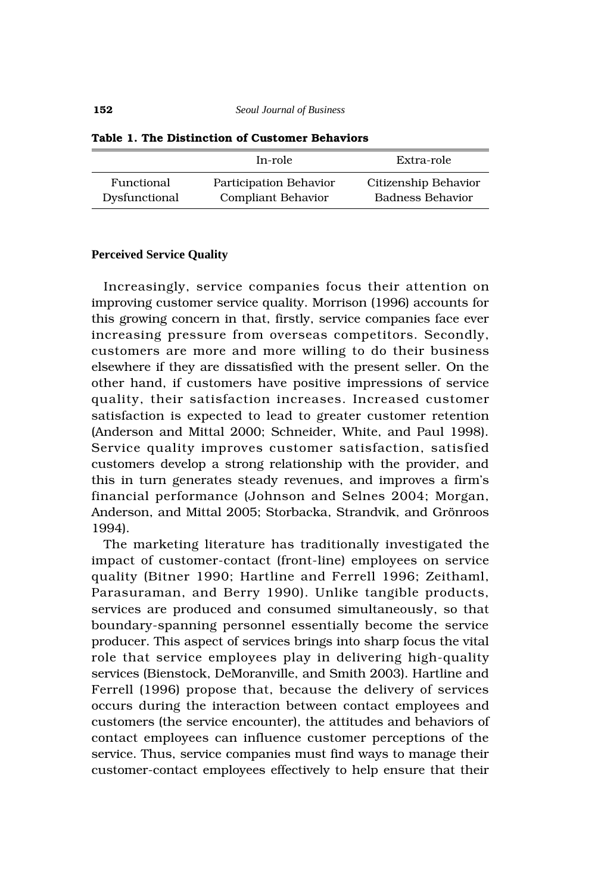|               | In-role                   | Extra-role           |  |  |
|---------------|---------------------------|----------------------|--|--|
| Functional    | Participation Behavior    | Citizenship Behavior |  |  |
| Dysfunctional | <b>Compliant Behavior</b> | Badness Behavior     |  |  |

#### **Table 1. The Distinction of Customer Behaviors**

#### **Perceived Service Quality**

Increasingly, service companies focus their attention on improving customer service quality. Morrison (1996) accounts for this growing concern in that, firstly, service companies face ever increasing pressure from overseas competitors. Secondly, customers are more and more willing to do their business elsewhere if they are dissatisfied with the present seller. On the other hand, if customers have positive impressions of service quality, their satisfaction increases. Increased customer satisfaction is expected to lead to greater customer retention (Anderson and Mittal 2000; Schneider, White, and Paul 1998). Service quality improves customer satisfaction, satisfied customers develop a strong relationship with the provider, and this in turn generates steady revenues, and improves a firm's financial performance (Johnson and Selnes 2004; Morgan, Anderson, and Mittal 2005; Storbacka, Strandvik, and Grönroos 1994).

The marketing literature has traditionally investigated the impact of customer-contact (front-line) employees on service quality (Bitner 1990; Hartline and Ferrell 1996; Zeithaml, Parasuraman, and Berry 1990). Unlike tangible products, services are produced and consumed simultaneously, so that boundary-spanning personnel essentially become the service producer. This aspect of services brings into sharp focus the vital role that service employees play in delivering high-quality services (Bienstock, DeMoranville, and Smith 2003). Hartline and Ferrell (1996) propose that, because the delivery of services occurs during the interaction between contact employees and customers (the service encounter), the attitudes and behaviors of contact employees can influence customer perceptions of the service. Thus, service companies must find ways to manage their customer-contact employees effectively to help ensure that their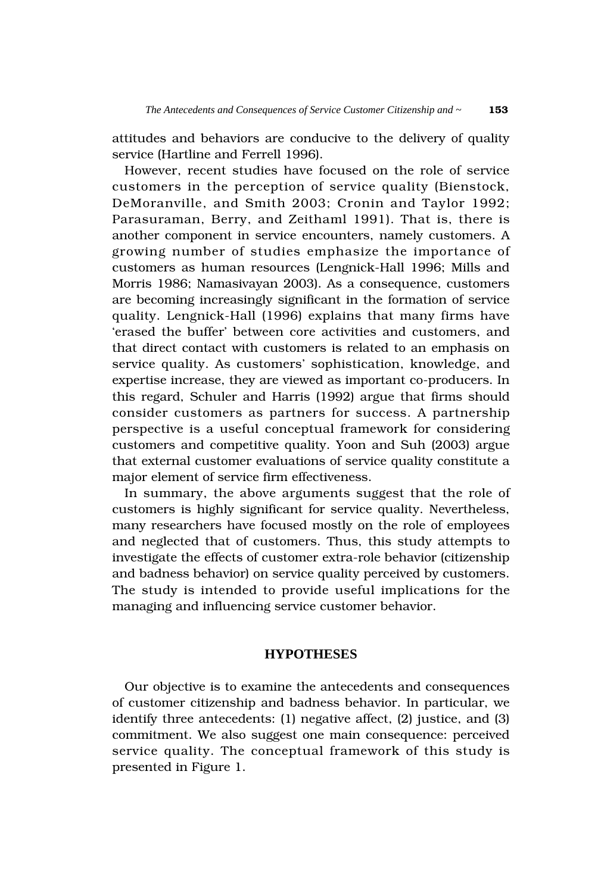attitudes and behaviors are conducive to the delivery of quality service (Hartline and Ferrell 1996).

However, recent studies have focused on the role of service customers in the perception of service quality (Bienstock, DeMoranville, and Smith 2003; Cronin and Taylor 1992; Parasuraman, Berry, and Zeithaml 1991). That is, there is another component in service encounters, namely customers. A growing number of studies emphasize the importance of customers as human resources (Lengnick-Hall 1996; Mills and Morris 1986; Namasivayan 2003). As a consequence, customers are becoming increasingly significant in the formation of service quality. Lengnick-Hall (1996) explains that many firms have 'erased the buffer' between core activities and customers, and that direct contact with customers is related to an emphasis on service quality. As customers' sophistication, knowledge, and expertise increase, they are viewed as important co-producers. In this regard, Schuler and Harris (1992) argue that firms should consider customers as partners for success. A partnership perspective is a useful conceptual framework for considering customers and competitive quality. Yoon and Suh (2003) argue that external customer evaluations of service quality constitute a major element of service firm effectiveness.

In summary, the above arguments suggest that the role of customers is highly significant for service quality. Nevertheless, many researchers have focused mostly on the role of employees and neglected that of customers. Thus, this study attempts to investigate the effects of customer extra-role behavior (citizenship and badness behavior) on service quality perceived by customers. The study is intended to provide useful implications for the managing and influencing service customer behavior.

# **HYPOTHESES**

Our objective is to examine the antecedents and consequences of customer citizenship and badness behavior. In particular, we identify three antecedents: (1) negative affect, (2) justice, and (3) commitment. We also suggest one main consequence: perceived service quality. The conceptual framework of this study is presented in Figure 1.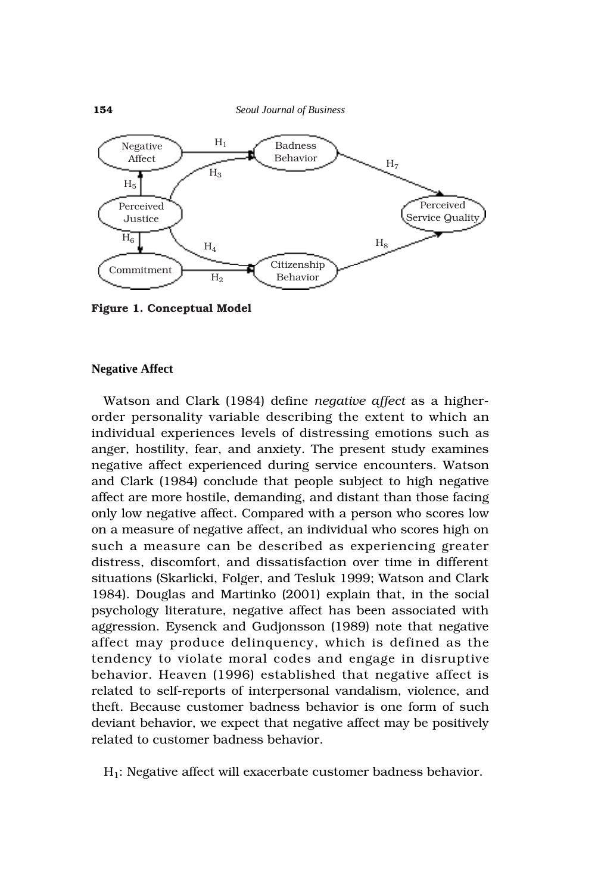

**Figure 1. Conceptual Model**

#### **Negative Affect**

Watson and Clark (1984) define *negative affect* as a higherorder personality variable describing the extent to which an individual experiences levels of distressing emotions such as anger, hostility, fear, and anxiety. The present study examines negative affect experienced during service encounters. Watson and Clark (1984) conclude that people subject to high negative affect are more hostile, demanding, and distant than those facing only low negative affect. Compared with a person who scores low on a measure of negative affect, an individual who scores high on such a measure can be described as experiencing greater distress, discomfort, and dissatisfaction over time in different situations (Skarlicki, Folger, and Tesluk 1999; Watson and Clark 1984). Douglas and Martinko (2001) explain that, in the social psychology literature, negative affect has been associated with aggression. Eysenck and Gudjonsson (1989) note that negative affect may produce delinquency, which is defined as the tendency to violate moral codes and engage in disruptive behavior. Heaven (1996) established that negative affect is related to self-reports of interpersonal vandalism, violence, and theft. Because customer badness behavior is one form of such deviant behavior, we expect that negative affect may be positively related to customer badness behavior.

H1: Negative affect will exacerbate customer badness behavior.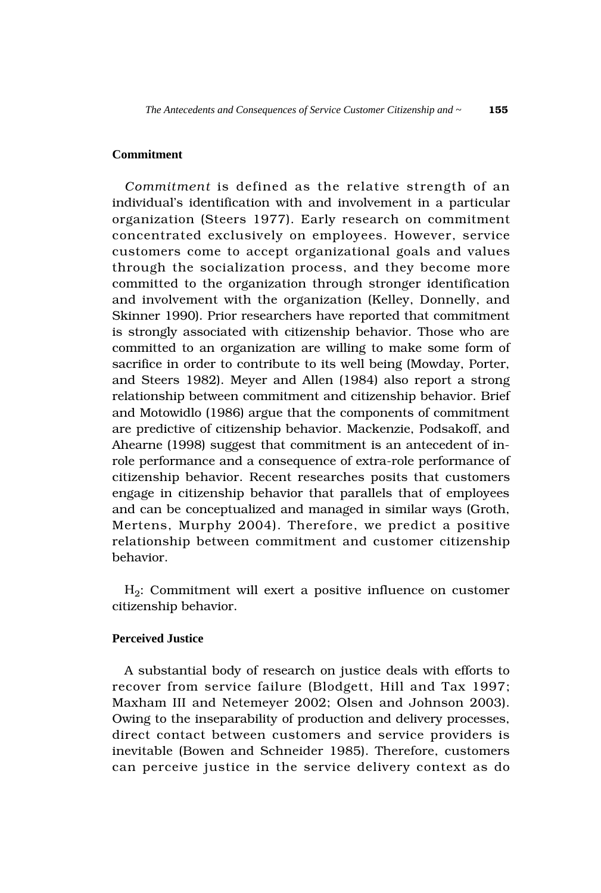# **Commitment**

*Commitment* is defined as the relative strength of an individual's identification with and involvement in a particular organization (Steers 1977). Early research on commitment concentrated exclusively on employees. However, service customers come to accept organizational goals and values through the socialization process, and they become more committed to the organization through stronger identification and involvement with the organization (Kelley, Donnelly, and Skinner 1990). Prior researchers have reported that commitment is strongly associated with citizenship behavior. Those who are committed to an organization are willing to make some form of sacrifice in order to contribute to its well being (Mowday, Porter, and Steers 1982). Meyer and Allen (1984) also report a strong relationship between commitment and citizenship behavior. Brief and Motowidlo (1986) argue that the components of commitment are predictive of citizenship behavior. Mackenzie, Podsakoff, and Ahearne (1998) suggest that commitment is an antecedent of inrole performance and a consequence of extra-role performance of citizenship behavior. Recent researches posits that customers engage in citizenship behavior that parallels that of employees and can be conceptualized and managed in similar ways (Groth, Mertens, Murphy 2004). Therefore, we predict a positive relationship between commitment and customer citizenship behavior.

 $H_2$ : Commitment will exert a positive influence on customer citizenship behavior.

# **Perceived Justice**

A substantial body of research on justice deals with efforts to recover from service failure (Blodgett, Hill and Tax 1997; Maxham III and Netemeyer 2002; Olsen and Johnson 2003). Owing to the inseparability of production and delivery processes, direct contact between customers and service providers is inevitable (Bowen and Schneider 1985). Therefore, customers can perceive justice in the service delivery context as do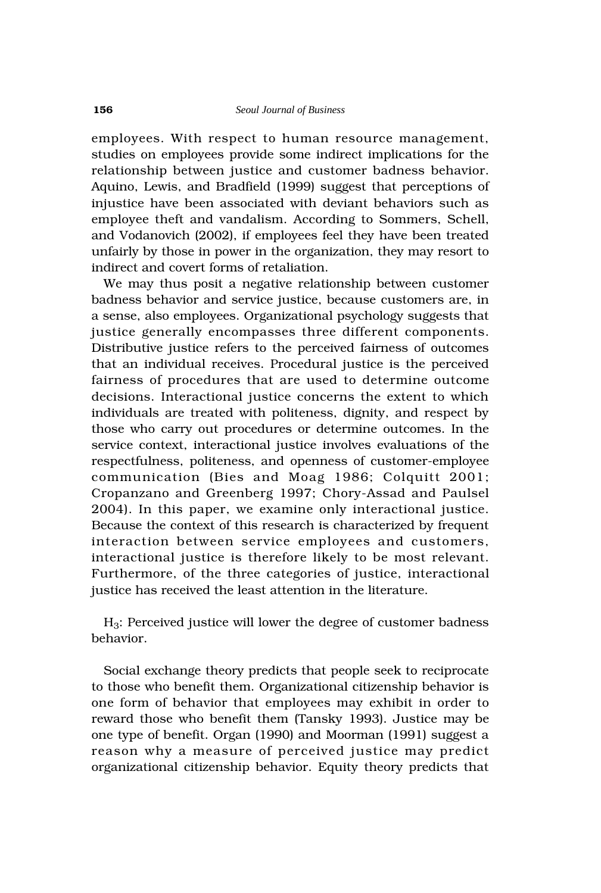employees. With respect to human resource management, studies on employees provide some indirect implications for the relationship between justice and customer badness behavior. Aquino, Lewis, and Bradfield (1999) suggest that perceptions of injustice have been associated with deviant behaviors such as employee theft and vandalism. According to Sommers, Schell, and Vodanovich (2002), if employees feel they have been treated unfairly by those in power in the organization, they may resort to indirect and covert forms of retaliation.

We may thus posit a negative relationship between customer badness behavior and service justice, because customers are, in a sense, also employees. Organizational psychology suggests that justice generally encompasses three different components. Distributive justice refers to the perceived fairness of outcomes that an individual receives. Procedural justice is the perceived fairness of procedures that are used to determine outcome decisions. Interactional justice concerns the extent to which individuals are treated with politeness, dignity, and respect by those who carry out procedures or determine outcomes. In the service context, interactional justice involves evaluations of the respectfulness, politeness, and openness of customer-employee communication (Bies and Moag 1986; Colquitt 2001; Cropanzano and Greenberg 1997; Chory-Assad and Paulsel 2004). In this paper, we examine only interactional justice. Because the context of this research is characterized by frequent interaction between service employees and customers, interactional justice is therefore likely to be most relevant. Furthermore, of the three categories of justice, interactional justice has received the least attention in the literature.

H3: Perceived justice will lower the degree of customer badness behavior.

Social exchange theory predicts that people seek to reciprocate to those who benefit them. Organizational citizenship behavior is one form of behavior that employees may exhibit in order to reward those who benefit them (Tansky 1993). Justice may be one type of benefit. Organ (1990) and Moorman (1991) suggest a reason why a measure of perceived justice may predict organizational citizenship behavior. Equity theory predicts that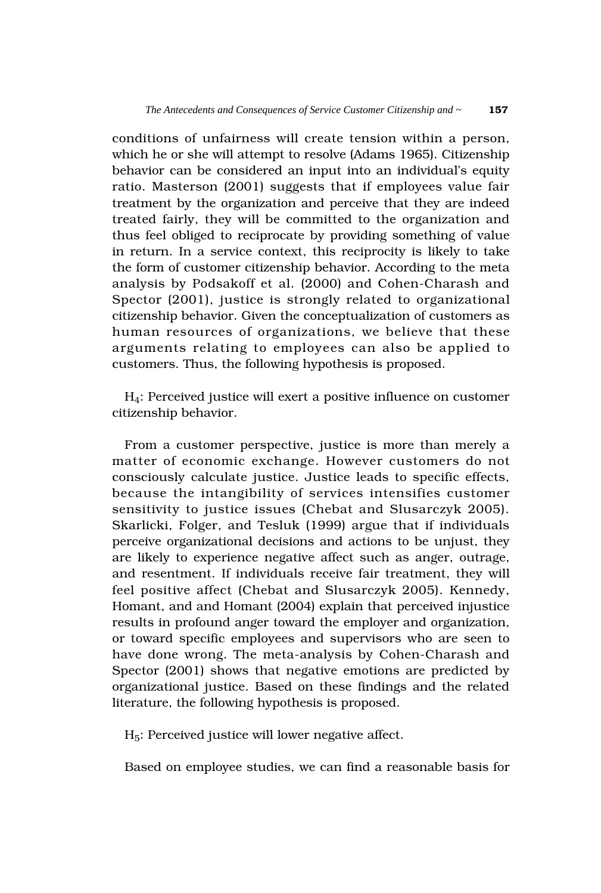conditions of unfairness will create tension within a person, which he or she will attempt to resolve (Adams 1965). Citizenship behavior can be considered an input into an individual's equity ratio. Masterson (2001) suggests that if employees value fair treatment by the organization and perceive that they are indeed treated fairly, they will be committed to the organization and thus feel obliged to reciprocate by providing something of value in return. In a service context, this reciprocity is likely to take the form of customer citizenship behavior. According to the meta analysis by Podsakoff et al. (2000) and Cohen-Charash and Spector (2001), justice is strongly related to organizational citizenship behavior. Given the conceptualization of customers as human resources of organizations, we believe that these arguments relating to employees can also be applied to customers. Thus, the following hypothesis is proposed.

H4: Perceived justice will exert a positive influence on customer citizenship behavior.

From a customer perspective, justice is more than merely a matter of economic exchange. However customers do not consciously calculate justice. Justice leads to specific effects, because the intangibility of services intensifies customer sensitivity to justice issues (Chebat and Slusarczyk 2005). Skarlicki, Folger, and Tesluk (1999) argue that if individuals perceive organizational decisions and actions to be unjust, they are likely to experience negative affect such as anger, outrage, and resentment. If individuals receive fair treatment, they will feel positive affect (Chebat and Slusarczyk 2005). Kennedy, Homant, and and Homant (2004) explain that perceived injustice results in profound anger toward the employer and organization, or toward specific employees and supervisors who are seen to have done wrong. The meta-analysis by Cohen-Charash and Spector (2001) shows that negative emotions are predicted by organizational justice. Based on these findings and the related literature, the following hypothesis is proposed.

 $H<sub>5</sub>$ : Perceived justice will lower negative affect.

Based on employee studies, we can find a reasonable basis for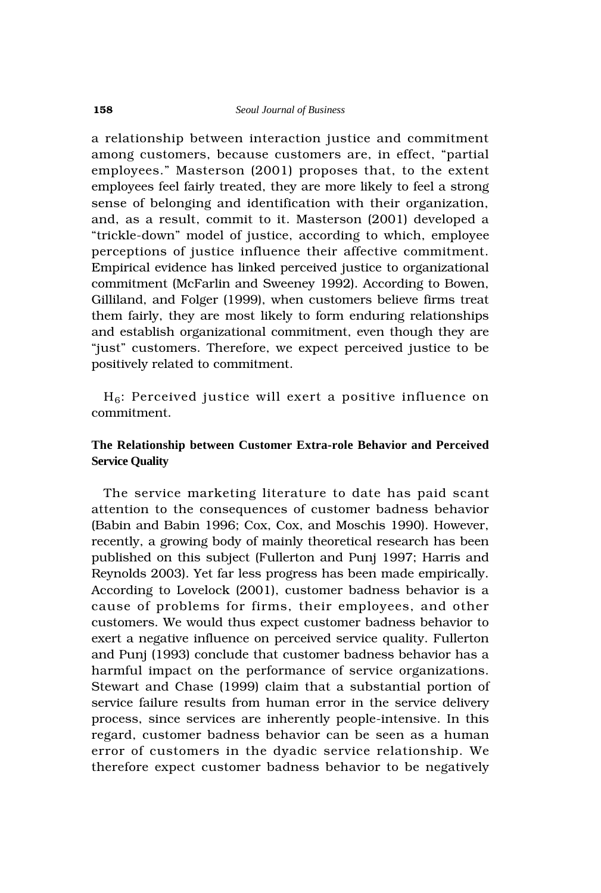a relationship between interaction justice and commitment among customers, because customers are, in effect, "partial employees." Masterson (2001) proposes that, to the extent employees feel fairly treated, they are more likely to feel a strong sense of belonging and identification with their organization, and, as a result, commit to it. Masterson (2001) developed a "trickle-down" model of justice, according to which, employee perceptions of justice influence their affective commitment. Empirical evidence has linked perceived justice to organizational commitment (McFarlin and Sweeney 1992). According to Bowen, Gilliland, and Folger (1999), when customers believe firms treat them fairly, they are most likely to form enduring relationships and establish organizational commitment, even though they are "just" customers. Therefore, we expect perceived justice to be positively related to commitment.

 $H_6$ : Perceived justice will exert a positive influence on commitment.

# **The Relationship between Customer Extra-role Behavior and Perceived Service Quality**

The service marketing literature to date has paid scant attention to the consequences of customer badness behavior (Babin and Babin 1996; Cox, Cox, and Moschis 1990). However, recently, a growing body of mainly theoretical research has been published on this subject (Fullerton and Punj 1997; Harris and Reynolds 2003). Yet far less progress has been made empirically. According to Lovelock (2001), customer badness behavior is a cause of problems for firms, their employees, and other customers. We would thus expect customer badness behavior to exert a negative influence on perceived service quality. Fullerton and Punj (1993) conclude that customer badness behavior has a harmful impact on the performance of service organizations. Stewart and Chase (1999) claim that a substantial portion of service failure results from human error in the service delivery process, since services are inherently people-intensive. In this regard, customer badness behavior can be seen as a human error of customers in the dyadic service relationship. We therefore expect customer badness behavior to be negatively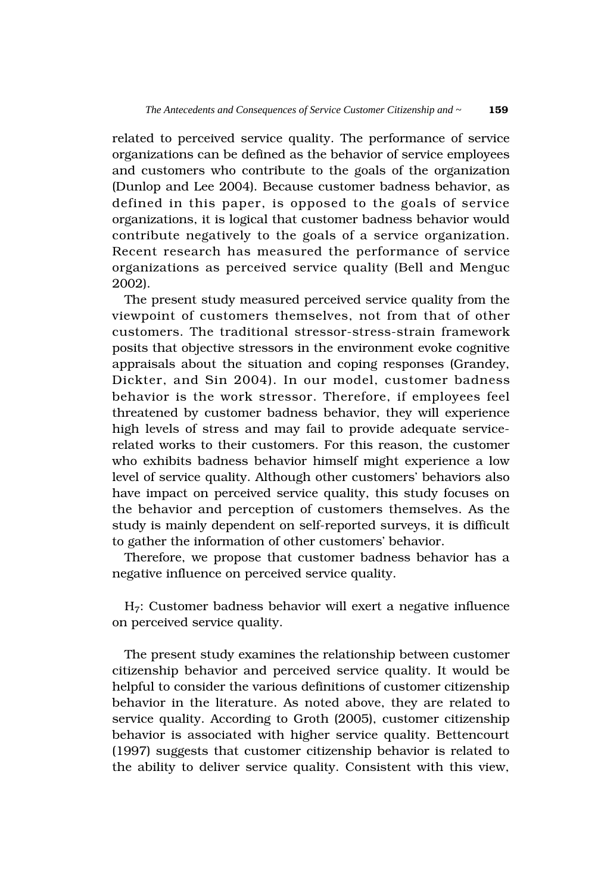related to perceived service quality. The performance of service organizations can be defined as the behavior of service employees and customers who contribute to the goals of the organization (Dunlop and Lee 2004). Because customer badness behavior, as defined in this paper, is opposed to the goals of service organizations, it is logical that customer badness behavior would contribute negatively to the goals of a service organization. Recent research has measured the performance of service organizations as perceived service quality (Bell and Menguc 2002).

The present study measured perceived service quality from the viewpoint of customers themselves, not from that of other customers. The traditional stressor-stress-strain framework posits that objective stressors in the environment evoke cognitive appraisals about the situation and coping responses (Grandey, Dickter, and Sin 2004). In our model, customer badness behavior is the work stressor. Therefore, if employees feel threatened by customer badness behavior, they will experience high levels of stress and may fail to provide adequate servicerelated works to their customers. For this reason, the customer who exhibits badness behavior himself might experience a low level of service quality. Although other customers' behaviors also have impact on perceived service quality, this study focuses on the behavior and perception of customers themselves. As the study is mainly dependent on self-reported surveys, it is difficult to gather the information of other customers' behavior.

Therefore, we propose that customer badness behavior has a negative influence on perceived service quality.

H7: Customer badness behavior will exert a negative influence on perceived service quality.

The present study examines the relationship between customer citizenship behavior and perceived service quality. It would be helpful to consider the various definitions of customer citizenship behavior in the literature. As noted above, they are related to service quality. According to Groth (2005), customer citizenship behavior is associated with higher service quality. Bettencourt (1997) suggests that customer citizenship behavior is related to the ability to deliver service quality. Consistent with this view,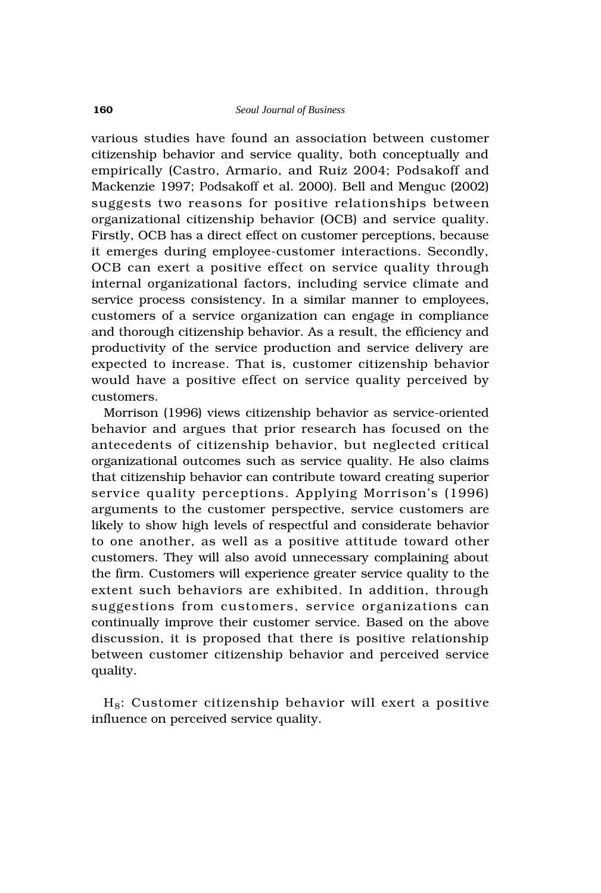various studies have found an association between customer citizenship behavior and service quality, both conceptually and empirically (Castro, Armario, and Ruiz 2004; Podsakoff and Mackenzie 1997; Podsakoff et al. 2000). Bell and Menguc (2002) suggests two reasons for positive relationships between organizational citizenship behavior (OCB) and service quality. Firstly, OCB has a direct effect on customer perceptions, because it emerges during employee-customer interactions. Secondly, OCB can exert a positive effect on service quality through internal organizational factors, including service climate and service process consistency. In a similar manner to employees, customers of a service organization can engage in compliance and thorough citizenship behavior. As a result, the efficiency and productivity of the service production and service delivery are expected to increase. That is, customer citizenship behavior would have a positive effect on service quality perceived by customers.

Morrison (1996) views citizenship behavior as service-oriented behavior and argues that prior research has focused on the antecedents of citizenship behavior, but neglected critical organizational outcomes such as service quality. He also claims that citizenship behavior can contribute toward creating superior service quality perceptions. Applying Morrison's (1996) arguments to the customer perspective, service customers are likely to show high levels of respectful and considerate behavior to one another, as well as a positive attitude toward other customers. They will also avoid unnecessary complaining about the firm. Customers will experience greater service quality to the extent such behaviors are exhibited. In addition, through suggestions from customers, service organizations can continually improve their customer service. Based on the above discussion, it is proposed that there is positive relationship between customer citizenship behavior and perceived service quality.

 $H_8$ : Customer citizenship behavior will exert a positive influence on perceived service quality.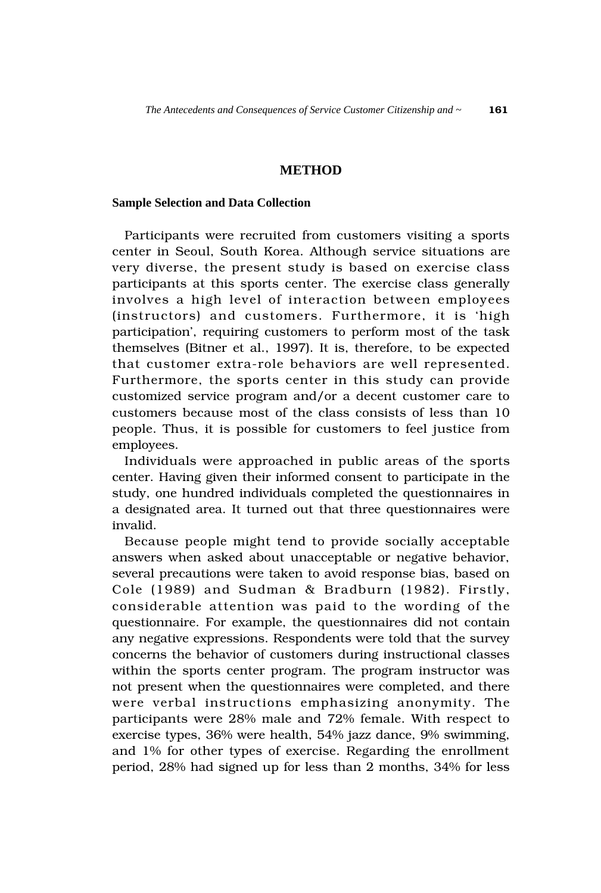# **METHOD**

#### **Sample Selection and Data Collection**

Participants were recruited from customers visiting a sports center in Seoul, South Korea. Although service situations are very diverse, the present study is based on exercise class participants at this sports center. The exercise class generally involves a high level of interaction between employees (instructors) and customers. Furthermore, it is 'high participation', requiring customers to perform most of the task themselves (Bitner et al., 1997). It is, therefore, to be expected that customer extra-role behaviors are well represented. Furthermore, the sports center in this study can provide customized service program and/or a decent customer care to customers because most of the class consists of less than 10 people. Thus, it is possible for customers to feel justice from employees.

Individuals were approached in public areas of the sports center. Having given their informed consent to participate in the study, one hundred individuals completed the questionnaires in a designated area. It turned out that three questionnaires were invalid.

Because people might tend to provide socially acceptable answers when asked about unacceptable or negative behavior, several precautions were taken to avoid response bias, based on Cole (1989) and Sudman & Bradburn (1982). Firstly, considerable attention was paid to the wording of the questionnaire. For example, the questionnaires did not contain any negative expressions. Respondents were told that the survey concerns the behavior of customers during instructional classes within the sports center program. The program instructor was not present when the questionnaires were completed, and there were verbal instructions emphasizing anonymity. The participants were 28% male and 72% female. With respect to exercise types, 36% were health, 54% jazz dance, 9% swimming, and 1% for other types of exercise. Regarding the enrollment period, 28% had signed up for less than 2 months, 34% for less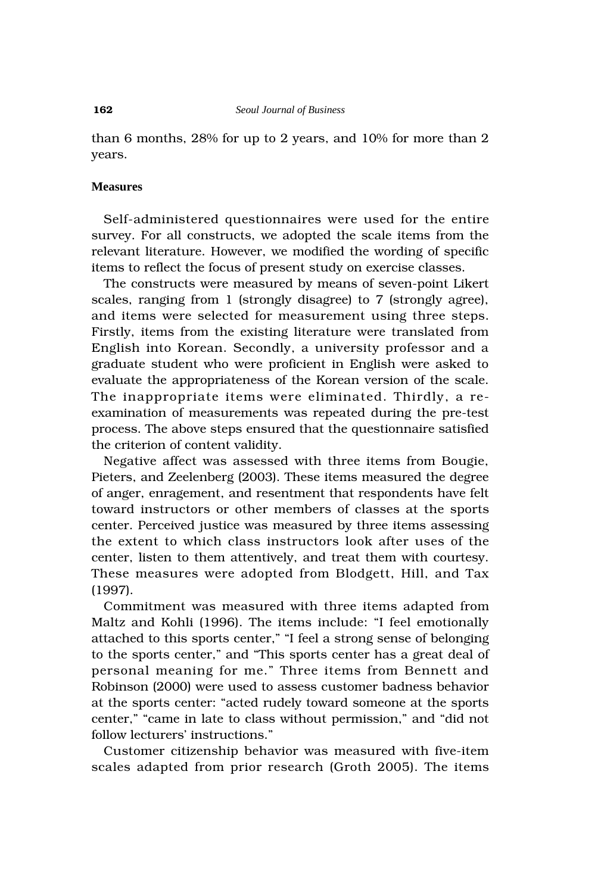than 6 months, 28% for up to 2 years, and 10% for more than 2 years.

#### **Measures**

Self-administered questionnaires were used for the entire survey. For all constructs, we adopted the scale items from the relevant literature. However, we modified the wording of specific items to reflect the focus of present study on exercise classes.

The constructs were measured by means of seven-point Likert scales, ranging from 1 (strongly disagree) to 7 (strongly agree), and items were selected for measurement using three steps. Firstly, items from the existing literature were translated from English into Korean. Secondly, a university professor and a graduate student who were proficient in English were asked to evaluate the appropriateness of the Korean version of the scale. The inappropriate items were eliminated. Thirdly, a reexamination of measurements was repeated during the pre-test process. The above steps ensured that the questionnaire satisfied the criterion of content validity.

Negative affect was assessed with three items from Bougie, Pieters, and Zeelenberg (2003). These items measured the degree of anger, enragement, and resentment that respondents have felt toward instructors or other members of classes at the sports center. Perceived justice was measured by three items assessing the extent to which class instructors look after uses of the center, listen to them attentively, and treat them with courtesy. These measures were adopted from Blodgett, Hill, and Tax (1997).

Commitment was measured with three items adapted from Maltz and Kohli (1996). The items include: "I feel emotionally attached to this sports center," "I feel a strong sense of belonging to the sports center," and "This sports center has a great deal of personal meaning for me." Three items from Bennett and Robinson (2000) were used to assess customer badness behavior at the sports center: "acted rudely toward someone at the sports center," "came in late to class without permission," and "did not follow lecturers' instructions."

Customer citizenship behavior was measured with five-item scales adapted from prior research (Groth 2005). The items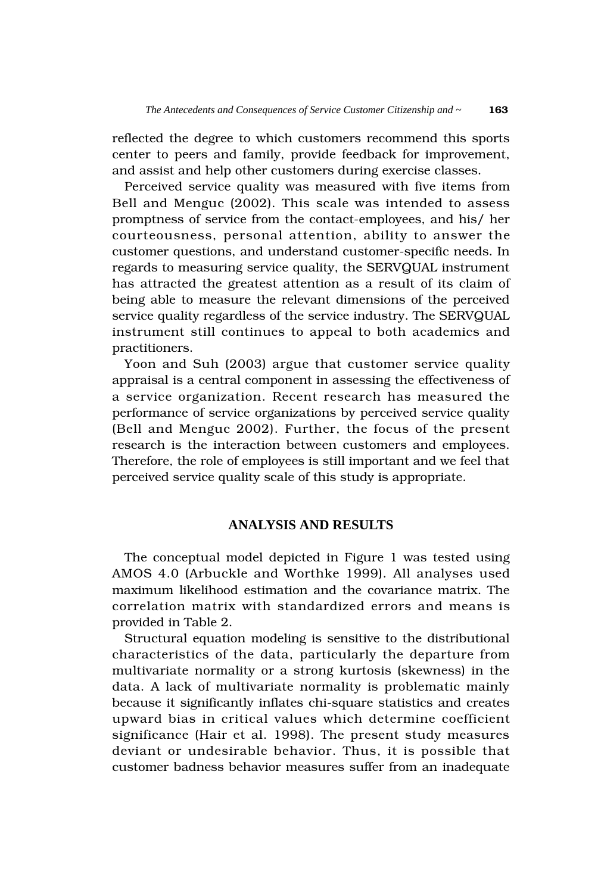reflected the degree to which customers recommend this sports center to peers and family, provide feedback for improvement, and assist and help other customers during exercise classes.

Perceived service quality was measured with five items from Bell and Menguc (2002). This scale was intended to assess promptness of service from the contact-employees, and his/ her courteousness, personal attention, ability to answer the customer questions, and understand customer-specific needs. In regards to measuring service quality, the SERVQUAL instrument has attracted the greatest attention as a result of its claim of being able to measure the relevant dimensions of the perceived service quality regardless of the service industry. The SERVQUAL instrument still continues to appeal to both academics and practitioners.

Yoon and Suh (2003) argue that customer service quality appraisal is a central component in assessing the effectiveness of a service organization. Recent research has measured the performance of service organizations by perceived service quality (Bell and Menguc 2002). Further, the focus of the present research is the interaction between customers and employees. Therefore, the role of employees is still important and we feel that perceived service quality scale of this study is appropriate.

# **ANALYSIS AND RESULTS**

The conceptual model depicted in Figure 1 was tested using AMOS 4.0 (Arbuckle and Worthke 1999). All analyses used maximum likelihood estimation and the covariance matrix. The correlation matrix with standardized errors and means is provided in Table 2.

Structural equation modeling is sensitive to the distributional characteristics of the data, particularly the departure from multivariate normality or a strong kurtosis (skewness) in the data. A lack of multivariate normality is problematic mainly because it significantly inflates chi-square statistics and creates upward bias in critical values which determine coefficient significance (Hair et al. 1998). The present study measures deviant or undesirable behavior. Thus, it is possible that customer badness behavior measures suffer from an inadequate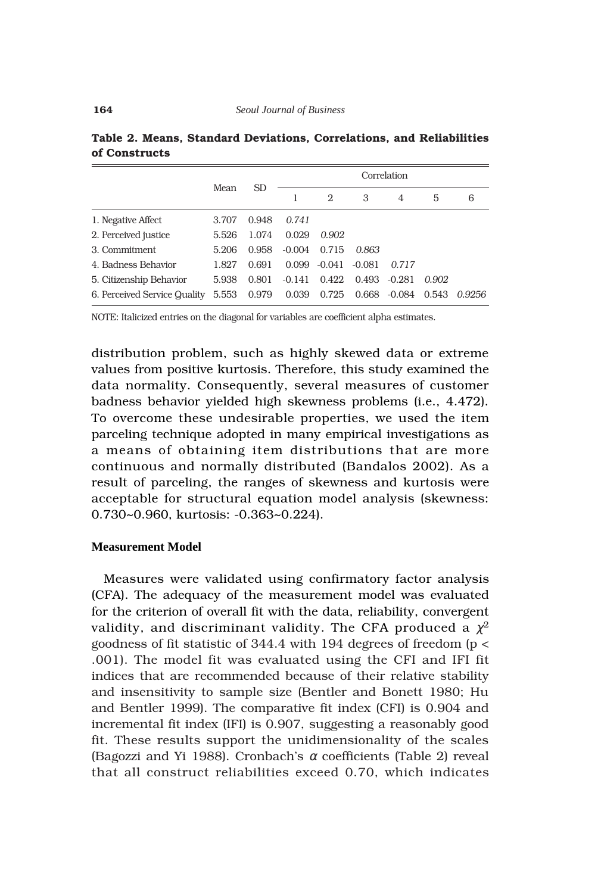|                              | Mean  | <b>SD</b> | Correlation |        |          |          |       |        |
|------------------------------|-------|-----------|-------------|--------|----------|----------|-------|--------|
|                              |       |           |             | 2      | 3        | 4        | 5     | 6      |
| 1. Negative Affect           | 3.707 | 0.948     | 0.741       |        |          |          |       |        |
| 2. Perceived justice         | 5.526 | 1.074     | 0.029       | 0.902  |          |          |       |        |
| 3. Commitment                | 5.206 | 0.958     | $-0.004$    | 0.715  | 0.863    |          |       |        |
| 4. Badness Behavior          | 1.827 | 0.691     | 0.099       | -0.041 | $-0.081$ | 0.717    |       |        |
| 5. Citizenship Behavior      | 5.938 | 0.801     | $-0.141$    | 0.422  | 0.493    | $-0.281$ | 0.902 |        |
| 6. Perceived Service Quality | 5.553 | 0.979     | 0.039       | 0.725  | 0.668    | $-0.084$ | 0.543 | 0.9256 |

**Table 2. Means, Standard Deviations, Correlations, and Reliabilities of Constructs**

NOTE: Italicized entries on the diagonal for variables are coefficient alpha estimates.

distribution problem, such as highly skewed data or extreme values from positive kurtosis. Therefore, this study examined the data normality. Consequently, several measures of customer badness behavior yielded high skewness problems (i.e., 4.472). To overcome these undesirable properties, we used the item parceling technique adopted in many empirical investigations as a means of obtaining item distributions that are more continuous and normally distributed (Bandalos 2002). As a result of parceling, the ranges of skewness and kurtosis were acceptable for structural equation model analysis (skewness: 0.730~0.960, kurtosis: -0.363~0.224).

### **Measurement Model**

Measures were validated using confirmatory factor analysis (CFA). The adequacy of the measurement model was evaluated for the criterion of overall fit with the data, reliability, convergent validity, and discriminant validity. The CFA produced a  $\chi^2$ goodness of fit statistic of 344.4 with 194 degrees of freedom (p < .001). The model fit was evaluated using the CFI and IFI fit indices that are recommended because of their relative stability and insensitivity to sample size (Bentler and Bonett 1980; Hu and Bentler 1999). The comparative fit index (CFI) is 0.904 and incremental fit index (IFI) is 0.907, suggesting a reasonably good fit. These results support the unidimensionality of the scales (Bagozzi and Yi 1988). Cronbach's  $\alpha$  coefficients (Table 2) reveal that all construct reliabilities exceed 0.70, which indicates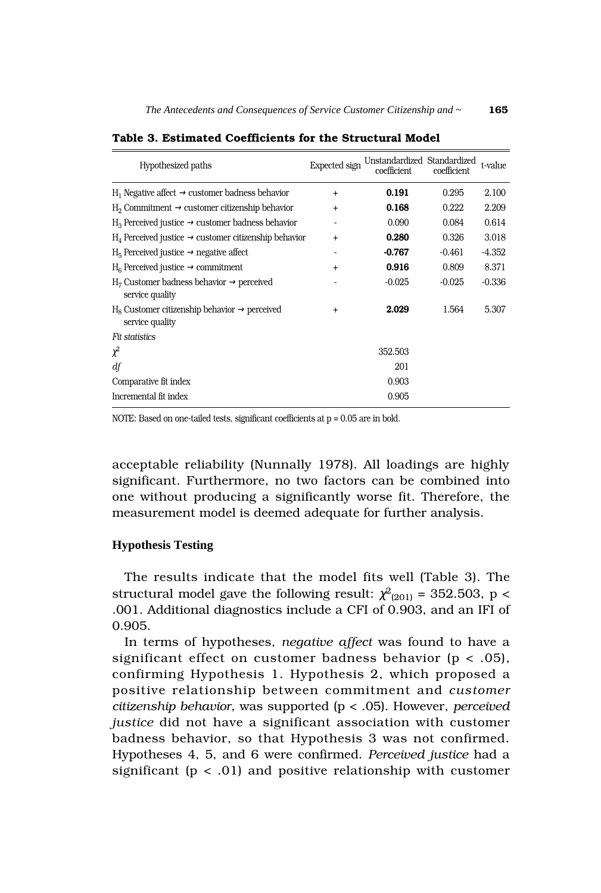| Hypothesized paths                                                             | Expected sign | Unstandardized Standardized<br>coefficient | coefficient | t-value  |
|--------------------------------------------------------------------------------|---------------|--------------------------------------------|-------------|----------|
| $H_1$ Negative affect $\rightarrow$ customer badness behavior                  | $\ddot{}$     | 0.191                                      | 0.295       | 2.100    |
| $H_2$ Commitment $\rightarrow$ customer citizenship behavior                   | $\ddot{}$     | 0.168                                      | 0.222       | 2.209    |
| $H_3$ Perceived justice $\rightarrow$ customer badness behavior                |               | 0.090                                      | 0.084       | 0.614    |
| $H_4$ Perceived justice $\rightarrow$ customer citizenship behavior            | $\ddot{}$     | 0.280                                      | 0.326       | 3.018    |
| $H_5$ Perceived justice $\rightarrow$ negative affect                          |               | $-0.767$                                   | $-0.461$    | $-4.352$ |
| $H_6$ Perceived justice $\rightarrow$ commitment                               | $\ddot{}$     | 0.916                                      | 0.809       | 8.371    |
| $H_7$ Customer badness behavior $\rightarrow$ perceived<br>service quality     |               | $-0.025$                                   | $-0.025$    | $-0.336$ |
| $H_8$ Customer citizenship behavior $\rightarrow$ perceived<br>service quality | $\ddot{}$     | 2.029                                      | 1.564       | 5.307    |
| Fit statistics                                                                 |               |                                            |             |          |
| $\chi^2$                                                                       |               | 352.503                                    |             |          |
| df                                                                             |               | 201                                        |             |          |
| Comparative fit index                                                          |               | 0.903                                      |             |          |
| Incremental fit index                                                          |               | 0.905                                      |             |          |

**Table 3. Estimated Coefficients for the Structural Model**

NOTE: Based on one-tailed tests, significant coefficients at p = 0.05 are in bold.

acceptable reliability (Nunnally 1978). All loadings are highly significant. Furthermore, no two factors can be combined into one without producing a significantly worse fit. Therefore, the measurement model is deemed adequate for further analysis.

# **Hypothesis Testing**

The results indicate that the model fits well (Table 3). The structural model gave the following result:  $\chi^2_{(201)}$  = 352.503, p < .001. Additional diagnostics include a CFI of 0.903, and an IFI of 0.905.

In terms of hypotheses, *negative affect* was found to have a significant effect on customer badness behavior ( $p < .05$ ), confirming Hypothesis 1. Hypothesis 2, which proposed a positive relationship between commitment and *customer citizenship behavior*, was supported (p < .05). However, *perceived justice* did not have a significant association with customer badness behavior, so that Hypothesis 3 was not confirmed. Hypotheses 4, 5, and 6 were confirmed. *Perceived justice* had a significant ( $p < .01$ ) and positive relationship with customer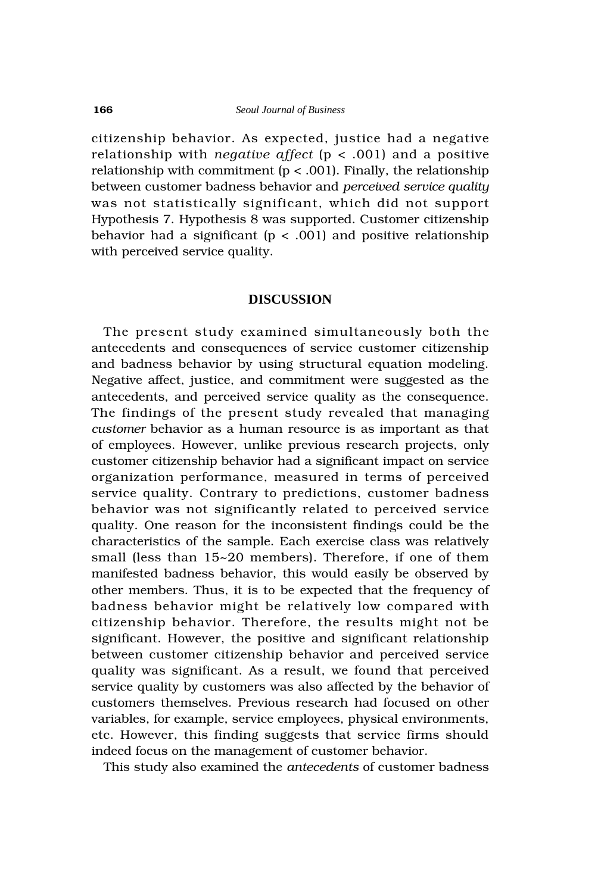citizenship behavior. As expected, justice had a negative relationship with *negative affect* (p < .001) and a positive relationship with commitment  $(p < .001)$ . Finally, the relationship between customer badness behavior and *perceived service quality* was not statistically significant, which did not support Hypothesis 7. Hypothesis 8 was supported. Customer citizenship behavior had a significant ( $p < .001$ ) and positive relationship with perceived service quality.

# **DISCUSSION**

The present study examined simultaneously both the antecedents and consequences of service customer citizenship and badness behavior by using structural equation modeling. Negative affect, justice, and commitment were suggested as the antecedents, and perceived service quality as the consequence. The findings of the present study revealed that managing *customer* behavior as a human resource is as important as that of employees. However, unlike previous research projects, only customer citizenship behavior had a significant impact on service organization performance, measured in terms of perceived service quality. Contrary to predictions, customer badness behavior was not significantly related to perceived service quality. One reason for the inconsistent findings could be the characteristics of the sample. Each exercise class was relatively small (less than 15~20 members). Therefore, if one of them manifested badness behavior, this would easily be observed by other members. Thus, it is to be expected that the frequency of badness behavior might be relatively low compared with citizenship behavior. Therefore, the results might not be significant. However, the positive and significant relationship between customer citizenship behavior and perceived service quality was significant. As a result, we found that perceived service quality by customers was also affected by the behavior of customers themselves. Previous research had focused on other variables, for example, service employees, physical environments, etc. However, this finding suggests that service firms should indeed focus on the management of customer behavior.

This study also examined the *antecedents* of customer badness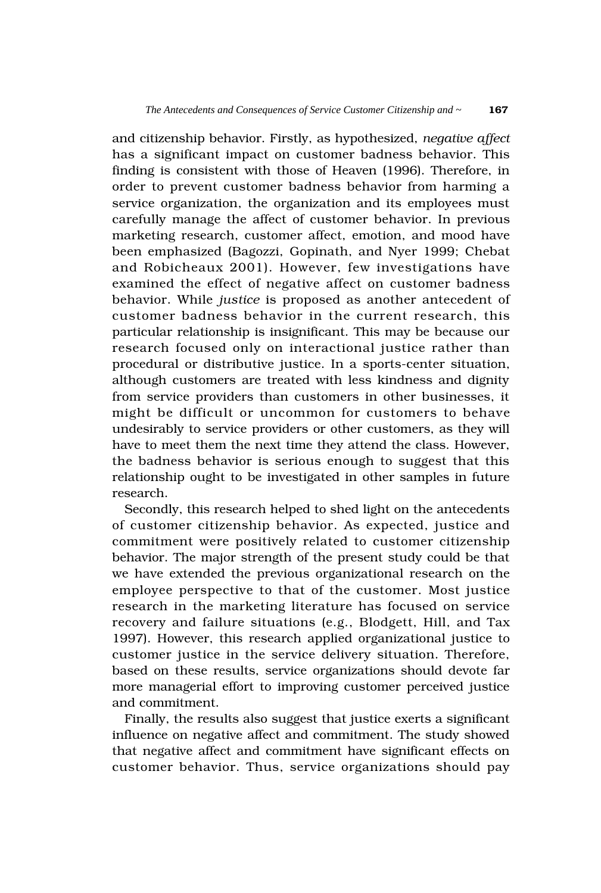and citizenship behavior. Firstly, as hypothesized, *negative affect* has a significant impact on customer badness behavior. This finding is consistent with those of Heaven (1996). Therefore, in order to prevent customer badness behavior from harming a service organization, the organization and its employees must carefully manage the affect of customer behavior. In previous marketing research, customer affect, emotion, and mood have been emphasized (Bagozzi, Gopinath, and Nyer 1999; Chebat and Robicheaux 2001). However, few investigations have examined the effect of negative affect on customer badness behavior. While *justice* is proposed as another antecedent of customer badness behavior in the current research, this particular relationship is insignificant. This may be because our research focused only on interactional justice rather than procedural or distributive justice. In a sports-center situation, although customers are treated with less kindness and dignity from service providers than customers in other businesses, it might be difficult or uncommon for customers to behave undesirably to service providers or other customers, as they will have to meet them the next time they attend the class. However, the badness behavior is serious enough to suggest that this relationship ought to be investigated in other samples in future research.

Secondly, this research helped to shed light on the antecedents of customer citizenship behavior. As expected, justice and commitment were positively related to customer citizenship behavior. The major strength of the present study could be that we have extended the previous organizational research on the employee perspective to that of the customer. Most justice research in the marketing literature has focused on service recovery and failure situations (e.g., Blodgett, Hill, and Tax 1997). However, this research applied organizational justice to customer justice in the service delivery situation. Therefore, based on these results, service organizations should devote far more managerial effort to improving customer perceived justice and commitment.

Finally, the results also suggest that justice exerts a significant influence on negative affect and commitment. The study showed that negative affect and commitment have significant effects on customer behavior. Thus, service organizations should pay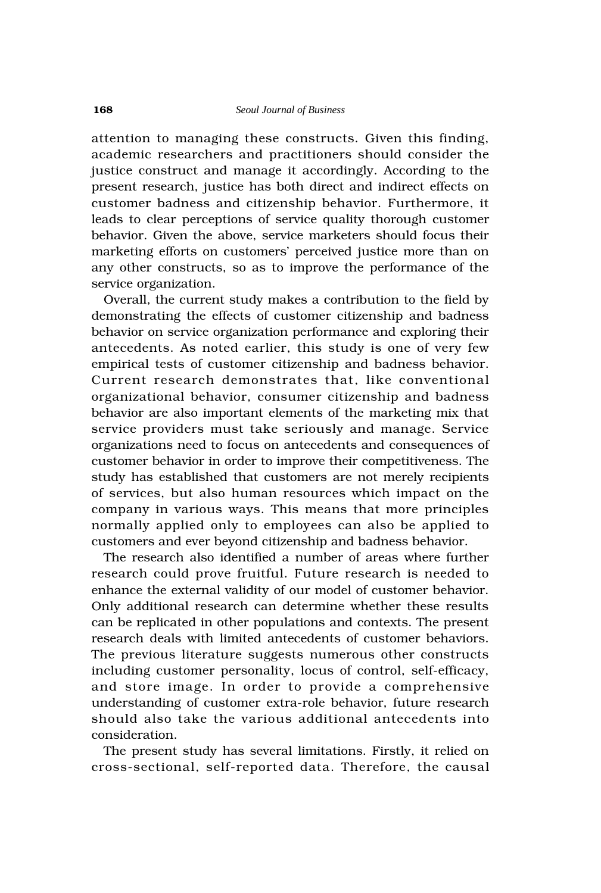attention to managing these constructs. Given this finding, academic researchers and practitioners should consider the justice construct and manage it accordingly. According to the present research, justice has both direct and indirect effects on customer badness and citizenship behavior. Furthermore, it leads to clear perceptions of service quality thorough customer behavior. Given the above, service marketers should focus their marketing efforts on customers' perceived justice more than on any other constructs, so as to improve the performance of the service organization.

Overall, the current study makes a contribution to the field by demonstrating the effects of customer citizenship and badness behavior on service organization performance and exploring their antecedents. As noted earlier, this study is one of very few empirical tests of customer citizenship and badness behavior. Current research demonstrates that, like conventional organizational behavior, consumer citizenship and badness behavior are also important elements of the marketing mix that service providers must take seriously and manage. Service organizations need to focus on antecedents and consequences of customer behavior in order to improve their competitiveness. The study has established that customers are not merely recipients of services, but also human resources which impact on the company in various ways. This means that more principles normally applied only to employees can also be applied to customers and ever beyond citizenship and badness behavior.

The research also identified a number of areas where further research could prove fruitful. Future research is needed to enhance the external validity of our model of customer behavior. Only additional research can determine whether these results can be replicated in other populations and contexts. The present research deals with limited antecedents of customer behaviors. The previous literature suggests numerous other constructs including customer personality, locus of control, self-efficacy, and store image. In order to provide a comprehensive understanding of customer extra-role behavior, future research should also take the various additional antecedents into consideration.

The present study has several limitations. Firstly, it relied on cross-sectional, self-reported data. Therefore, the causal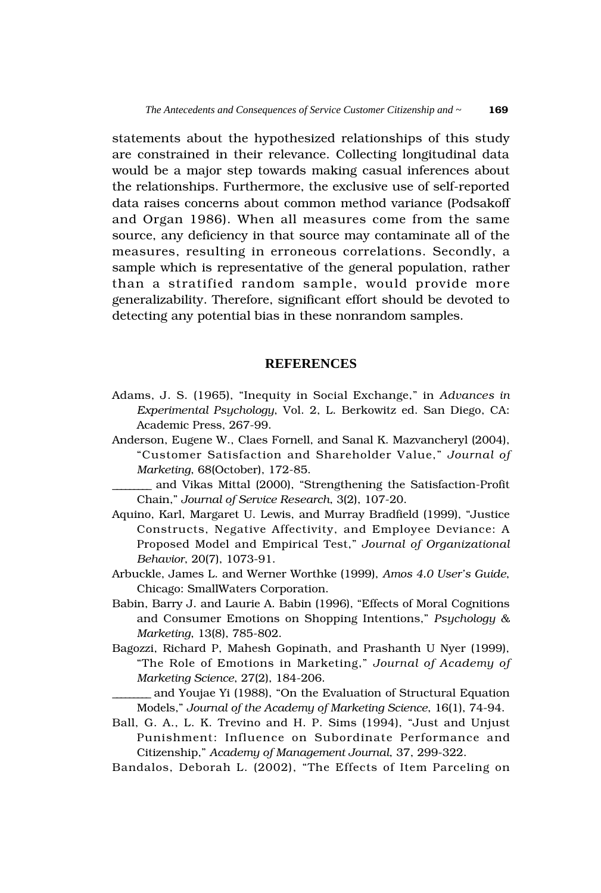statements about the hypothesized relationships of this study are constrained in their relevance. Collecting longitudinal data would be a major step towards making casual inferences about the relationships. Furthermore, the exclusive use of self-reported data raises concerns about common method variance (Podsakoff and Organ 1986). When all measures come from the same source, any deficiency in that source may contaminate all of the measures, resulting in erroneous correlations. Secondly, a sample which is representative of the general population, rather than a stratified random sample, would provide more generalizability. Therefore, significant effort should be devoted to detecting any potential bias in these nonrandom samples.

# **REFERENCES**

- Adams, J. S. (1965), "Inequity in Social Exchange," in *Advances in Experimental Psychology*, Vol. 2, L. Berkowitz ed. San Diego, CA: Academic Press, 267-99.
- Anderson, Eugene W., Claes Fornell, and Sanal K. Mazvancheryl (2004), "Customer Satisfaction and Shareholder Value," *Journal of Marketing*, 68(October), 172-85.
- \_\_\_\_\_\_\_\_\_ and Vikas Mittal (2000), "Strengthening the Satisfaction-Profit Chain," *Journal of Service Research*, 3(2), 107-20.
- Aquino, Karl, Margaret U. Lewis, and Murray Bradfield (1999), "Justice Constructs, Negative Affectivity, and Employee Deviance: A Proposed Model and Empirical Test," *Journal of Organizational Behavior*, 20(7), 1073-91.
- Arbuckle, James L. and Werner Worthke (1999), *Amos 4.0 User's Guide*, Chicago: SmallWaters Corporation.
- Babin, Barry J. and Laurie A. Babin (1996), "Effects of Moral Cognitions and Consumer Emotions on Shopping Intentions," *Psychology & Marketing*, 13(8), 785-802.
- Bagozzi, Richard P, Mahesh Gopinath, and Prashanth U Nyer (1999), "The Role of Emotions in Marketing," *Journal of Academy of Marketing Science*, 27(2), 184-206.

\_\_\_\_\_\_\_\_\_ and Youjae Yi (1988), "On the Evaluation of Structural Equation Models," *Journal of the Academy of Marketing Science*, 16(1), 74-94.

- Ball, G. A., L. K. Trevino and H. P. Sims (1994), "Just and Unjust Punishment: Influence on Subordinate Performance and Citizenship," *Academy of Management Journal*, 37, 299-322.
- Bandalos, Deborah L. (2002), "The Effects of Item Parceling on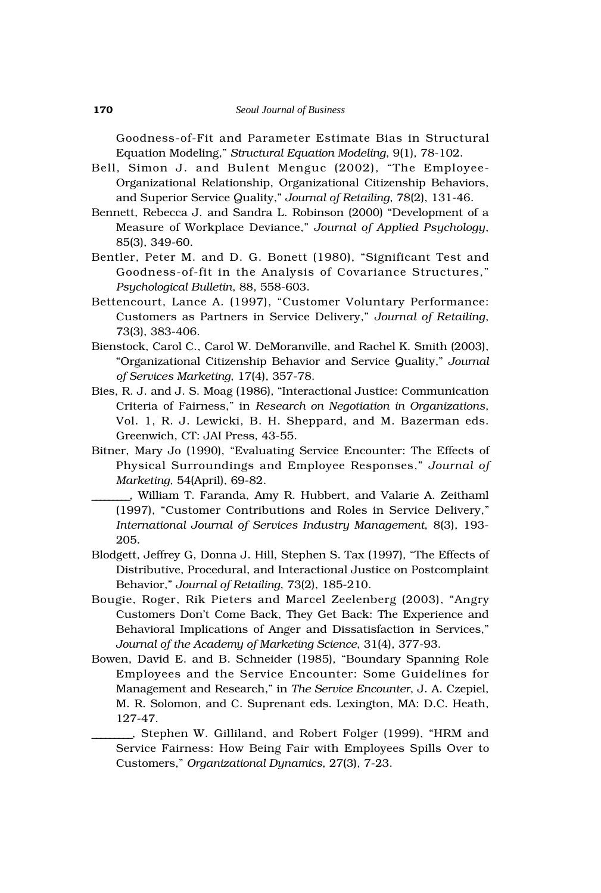Goodness-of-Fit and Parameter Estimate Bias in Structural Equation Modeling," *Structural Equation Modeling*, 9(1), 78-102.

- Bell, Simon J. and Bulent Menguc (2002), "The Employee-Organizational Relationship, Organizational Citizenship Behaviors, and Superior Service Quality," *Journal of Retailing*, 78(2), 131-46.
- Bennett, Rebecca J. and Sandra L. Robinson (2000) "Development of a Measure of Workplace Deviance," *Journal of Applied Psychology*, 85(3), 349-60.
- Bentler, Peter M. and D. G. Bonett (1980), "Significant Test and Goodness-of-fit in the Analysis of Covariance Structures," *Psychological Bulletin*, 88, 558-603.
- Bettencourt, Lance A. (1997), "Customer Voluntary Performance: Customers as Partners in Service Delivery," *Journal of Retailing*, 73(3), 383-406.
- Bienstock, Carol C., Carol W. DeMoranville, and Rachel K. Smith (2003), "Organizational Citizenship Behavior and Service Quality," *Journal of Services Marketing*, 17(4), 357-78.
- Bies, R. J. and J. S. Moag (1986), "Interactional Justice: Communication Criteria of Fairness," in *Research on Negotiation in Organizations*, Vol. 1, R. J. Lewicki, B. H. Sheppard, and M. Bazerman eds. Greenwich, CT: JAI Press, 43-55.
- Bitner, Mary Jo (1990), "Evaluating Service Encounter: The Effects of Physical Surroundings and Employee Responses," *Journal of Marketing*, 54(April), 69-82.
	- \_\_\_\_\_\_\_\_\_, William T. Faranda, Amy R. Hubbert, and Valarie A. Zeithaml (1997), "Customer Contributions and Roles in Service Delivery," *International Journal of Services Industry Management*, 8(3), 193- 205.
- Blodgett, Jeffrey G, Donna J. Hill, Stephen S. Tax (1997), "The Effects of Distributive, Procedural, and Interactional Justice on Postcomplaint Behavior," *Journal of Retailing*, 73(2), 185-210.
- Bougie, Roger, Rik Pieters and Marcel Zeelenberg (2003), "Angry Customers Don't Come Back, They Get Back: The Experience and Behavioral Implications of Anger and Dissatisfaction in Services," *Journal of the Academy of Marketing Science*, 31(4), 377-93.
- Bowen, David E. and B. Schneider (1985), "Boundary Spanning Role Employees and the Service Encounter: Some Guidelines for Management and Research," in *The Service Encounter*, J. A. Czepiel, M. R. Solomon, and C. Suprenant eds. Lexington, MA: D.C. Heath, 127-47.
	- \_\_\_\_\_\_\_\_\_, Stephen W. Gilliland, and Robert Folger (1999), "HRM and Service Fairness: How Being Fair with Employees Spills Over to Customers," *Organizational Dynamics*, 27(3), 7-23.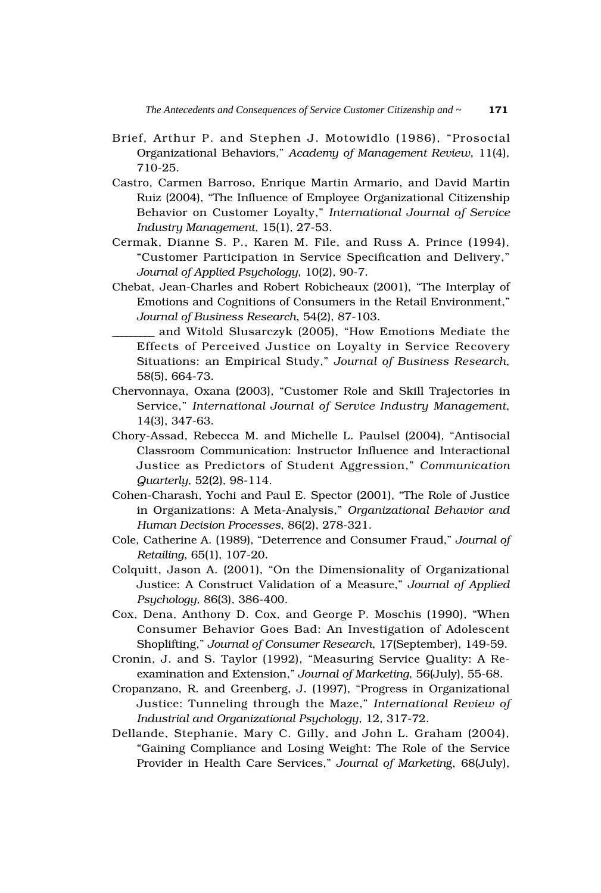- Brief, Arthur P. and Stephen J. Motowidlo (1986), "Prosocial Organizational Behaviors," *Academy of Management Review*, 11(4), 710-25.
- Castro, Carmen Barroso, Enrique Martin Armario, and David Martin Ruiz (2004), "The Influence of Employee Organizational Citizenship Behavior on Customer Loyalty," *International Journal of Service Industry Management*, 15(1), 27-53.
- Cermak, Dianne S. P., Karen M. File, and Russ A. Prince (1994), "Customer Participation in Service Specification and Delivery," *Journal of Applied Psychology*, 10(2), 90-7.
- Chebat, Jean-Charles and Robert Robicheaux (2001), "The Interplay of Emotions and Cognitions of Consumers in the Retail Environment," *Journal of Business Research*, 54(2), 87-103.
- \_\_\_\_\_\_\_\_\_ and Witold Slusarczyk (2005), "How Emotions Mediate the Effects of Perceived Justice on Loyalty in Service Recovery Situations: an Empirical Study," *Journal of Business Research*, 58(5), 664-73.
- Chervonnaya, Oxana (2003), "Customer Role and Skill Trajectories in Service," *International Journal of Service Industry Management*, 14(3), 347-63.
- Chory-Assad, Rebecca M. and Michelle L. Paulsel (2004), "Antisocial Classroom Communication: Instructor Influence and Interactional Justice as Predictors of Student Aggression," *Communication Quarterly*, 52(2), 98-114.
- Cohen-Charash, Yochi and Paul E. Spector (2001), "The Role of Justice in Organizations: A Meta-Analysis," *Organizational Behavior and Human Decision Processes*, 86(2), 278-321.
- Cole, Catherine A. (1989), "Deterrence and Consumer Fraud," *Journal of Retailing*, 65(1), 107-20.
- Colquitt, Jason A. (2001), "On the Dimensionality of Organizational Justice: A Construct Validation of a Measure," *Journal of Applied Psychology*, 86(3), 386-400.
- Cox, Dena, Anthony D. Cox, and George P. Moschis (1990), "When Consumer Behavior Goes Bad: An Investigation of Adolescent Shoplifting," *Journal of Consumer Research*, 17(September), 149-59.
- Cronin, J. and S. Taylor (1992), "Measuring Service Quality: A Reexamination and Extension," *Journal of Marketing*, 56(July), 55-68.
- Cropanzano, R. and Greenberg, J. (1997), "Progress in Organizational Justice: Tunneling through the Maze," *International Review of Industrial and Organizational Psychology*, 12, 317-72.
- Dellande, Stephanie, Mary C. Gilly, and John L. Graham (2004), "Gaining Compliance and Losing Weight: The Role of the Service Provider in Health Care Services," *Journal of Marketin*g, 68(July),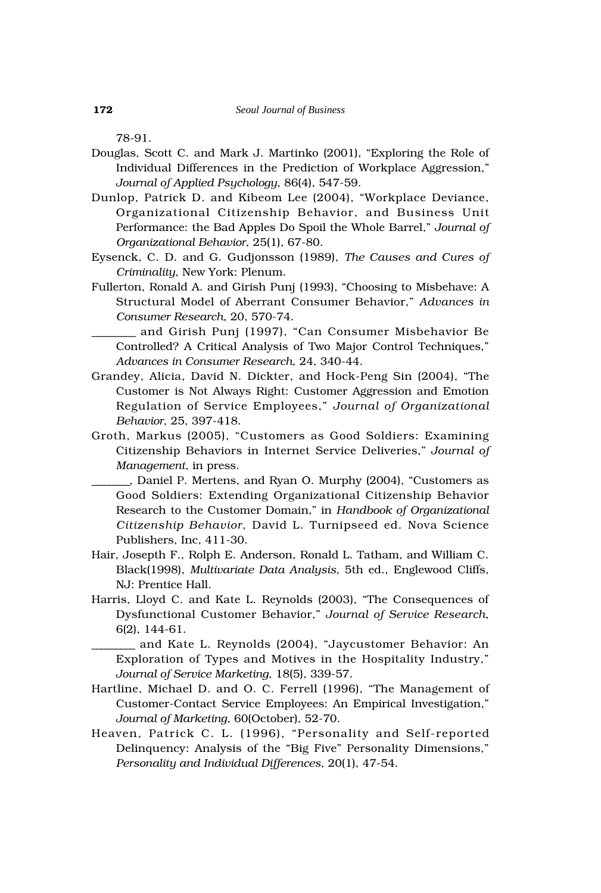78-91.

- Douglas, Scott C. and Mark J. Martinko (2001), "Exploring the Role of Individual Differences in the Prediction of Workplace Aggression," *Journal of Applied Psychology*, 86(4), 547-59.
- Dunlop, Patrick D. and Kibeom Lee (2004), "Workplace Deviance, Organizational Citizenship Behavior, and Business Unit Performance: the Bad Apples Do Spoil the Whole Barrel," *Journal of Organizational Behavior*, 25(1), 67-80.
- Eysenck, C. D. and G. Gudjonsson (1989), *The Causes and Cures of Criminality*, New York: Plenum.
- Fullerton, Ronald A. and Girish Punj (1993), "Choosing to Misbehave: A Structural Model of Aberrant Consumer Behavior," *Advances in Consumer Research*, 20, 570-74.
	- \_\_\_\_\_\_\_\_\_ and Girish Punj (1997), "Can Consumer Misbehavior Be Controlled? A Critical Analysis of Two Major Control Techniques," *Advances in Consumer Research*, 24, 340-44.
- Grandey, Alicia, David N. Dickter, and Hock-Peng Sin (2004), "The Customer is Not Always Right: Customer Aggression and Emotion Regulation of Service Employees," *Journal of Organizational Behavior*, 25, 397-418.
- Groth, Markus (2005), "Customers as Good Soldiers: Examining Citizenship Behaviors in Internet Service Deliveries," *Journal of Management*, in press.
- \_\_\_\_\_\_\_\_\_, Daniel P. Mertens, and Ryan O. Murphy (2004), "Customers as Good Soldiers: Extending Organizational Citizenship Behavior Research to the Customer Domain," in *Handbook of Organizational Citizenship Behavior*, David L. Turnipseed ed. Nova Science Publishers, Inc, 411-30.
- Hair, Josepth F., Rolph E. Anderson, Ronald L. Tatham, and William C. Black(1998), *Multivariate Data Analysis*, 5th ed., Englewood Cliffs, NJ: Prentice Hall.
- Harris, Lloyd C. and Kate L. Reynolds (2003), "The Consequences of Dysfunctional Customer Behavior," *Journal of Service Research*, 6(2), 144-61.

\_\_\_\_\_\_\_\_\_ and Kate L. Reynolds (2004), "Jaycustomer Behavior: An Exploration of Types and Motives in the Hospitality Industry," *Journal of Service Marketing*, 18(5), 339-57.

- Hartline, Michael D. and O. C. Ferrell (1996), "The Management of Customer-Contact Service Employees: An Empirical Investigation," *Journal of Marketing*, 60(October), 52-70.
- Heaven, Patrick C. L. (1996), "Personality and Self-reported Delinquency: Analysis of the "Big Five" Personality Dimensions," *Personality and Individual Differences*, 20(1), 47-54.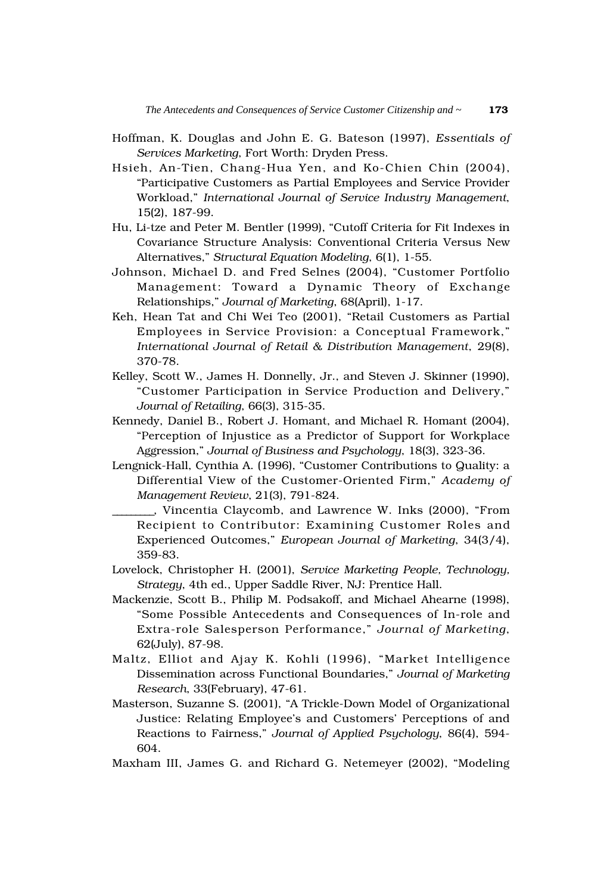- Hoffman, K. Douglas and John E. G. Bateson (1997), *Essentials of Services Marketing*, Fort Worth: Dryden Press.
- Hsieh, An-Tien, Chang-Hua Yen, and Ko-Chien Chin (2004), "Participative Customers as Partial Employees and Service Provider Workload," *International Journal of Service Industry Management*, 15(2), 187-99.
- Hu, Li-tze and Peter M. Bentler (1999), "Cutoff Criteria for Fit Indexes in Covariance Structure Analysis: Conventional Criteria Versus New Alternatives," *Structural Equation Modeling*, 6(1), 1-55.
- Johnson, Michael D. and Fred Selnes (2004), "Customer Portfolio Management: Toward a Dynamic Theory of Exchange Relationships," *Journal of Marketing*, 68(April), 1-17.
- Keh, Hean Tat and Chi Wei Teo (2001), "Retail Customers as Partial Employees in Service Provision: a Conceptual Framework," *International Journal of Retail & Distribution Management*, 29(8), 370-78.
- Kelley, Scott W., James H. Donnelly, Jr., and Steven J. Skinner (1990), "Customer Participation in Service Production and Delivery," *Journal of Retailing*, 66(3), 315-35.
- Kennedy, Daniel B., Robert J. Homant, and Michael R. Homant (2004), "Perception of Injustice as a Predictor of Support for Workplace Aggression," *Journal of Business and Psychology*, 18(3), 323-36.
- Lengnick-Hall, Cynthia A. (1996), "Customer Contributions to Quality: a Differential View of the Customer-Oriented Firm," *Academy of Management Review*, 21(3), 791-824.
- \_\_\_\_\_\_\_\_\_, Vincentia Claycomb, and Lawrence W. Inks (2000), "From Recipient to Contributor: Examining Customer Roles and Experienced Outcomes," *European Journal of Marketing*, 34(3/4), 359-83.
- Lovelock, Christopher H. (2001), *Service Marketing People, Technology, Strategy*, 4th ed., Upper Saddle River, NJ: Prentice Hall.
- Mackenzie, Scott B., Philip M. Podsakoff, and Michael Ahearne (1998), "Some Possible Antecedents and Consequences of In-role and Extra-role Salesperson Performance," *Journal of Marketing*, 62(July), 87-98.
- Maltz, Elliot and Ajay K. Kohli (1996), "Market Intelligence Dissemination across Functional Boundaries," *Journal of Marketing Research*, 33(February), 47-61.
- Masterson, Suzanne S. (2001), "A Trickle-Down Model of Organizational Justice: Relating Employee's and Customers' Perceptions of and Reactions to Fairness," *Journal of Applied Psychology*, 86(4), 594- 604.
- Maxham III, James G. and Richard G. Netemeyer (2002), "Modeling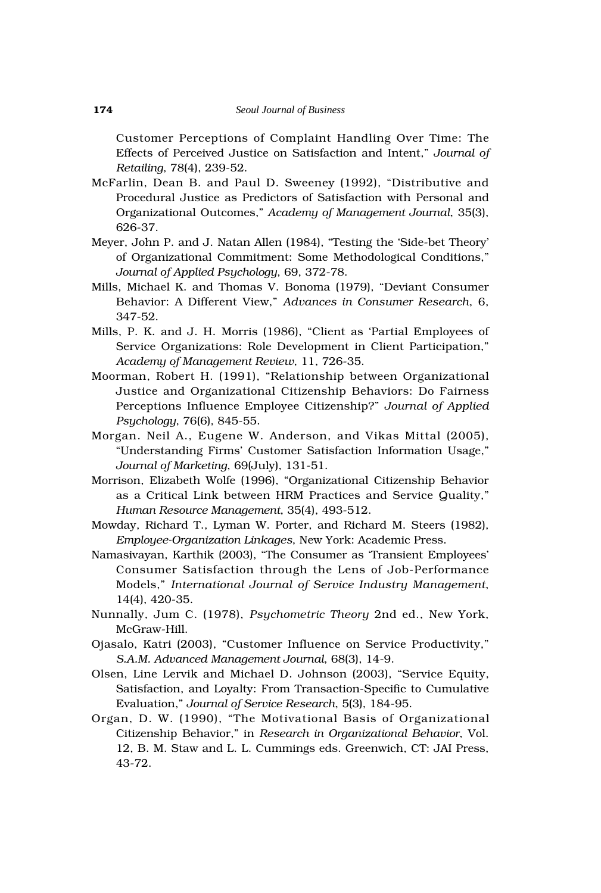Customer Perceptions of Complaint Handling Over Time: The Effects of Perceived Justice on Satisfaction and Intent," *Journal of Retailing*, 78(4), 239-52.

- McFarlin, Dean B. and Paul D. Sweeney (1992), "Distributive and Procedural Justice as Predictors of Satisfaction with Personal and Organizational Outcomes," *Academy of Management Journal*, 35(3), 626-37.
- Meyer, John P. and J. Natan Allen (1984), "Testing the 'Side-bet Theory' of Organizational Commitment: Some Methodological Conditions," *Journal of Applied Psychology*, 69, 372-78.
- Mills, Michael K. and Thomas V. Bonoma (1979), "Deviant Consumer Behavior: A Different View," *Advances in Consumer Research*, 6, 347-52.
- Mills, P. K. and J. H. Morris (1986), "Client as 'Partial Employees of Service Organizations: Role Development in Client Participation," *Academy of Management Review*, 11, 726-35.
- Moorman, Robert H. (1991), "Relationship between Organizational Justice and Organizational Citizenship Behaviors: Do Fairness Perceptions Influence Employee Citizenship?" *Journal of Applied Psychology*, 76(6), 845-55.
- Morgan. Neil A., Eugene W. Anderson, and Vikas Mittal (2005), "Understanding Firms' Customer Satisfaction Information Usage," *Journal of Marketing*, 69(July), 131-51.
- Morrison, Elizabeth Wolfe (1996), "Organizational Citizenship Behavior as a Critical Link between HRM Practices and Service Quality," *Human Resource Management*, 35(4), 493-512.
- Mowday, Richard T., Lyman W. Porter, and Richard M. Steers (1982), *Employee-Organization Linkages*, New York: Academic Press.
- Namasivayan, Karthik (2003), "The Consumer as 'Transient Employees' Consumer Satisfaction through the Lens of Job-Performance Models," *International Journal of Service Industry Management*, 14(4), 420-35.
- Nunnally, Jum C. (1978), *Psychometric Theory* 2nd ed., New York, McGraw-Hill.
- Ojasalo, Katri (2003), "Customer Influence on Service Productivity," *S.A.M. Advanced Management Journal*, 68(3), 14-9.
- Olsen, Line Lervik and Michael D. Johnson (2003), "Service Equity, Satisfaction, and Loyalty: From Transaction-Specific to Cumulative Evaluation," *Journal of Service Research*, 5(3), 184-95.
- Organ, D. W. (1990), "The Motivational Basis of Organizational Citizenship Behavior," in *Research in Organizational Behavior*, Vol. 12, B. M. Staw and L. L. Cummings eds. Greenwich, CT: JAI Press, 43-72.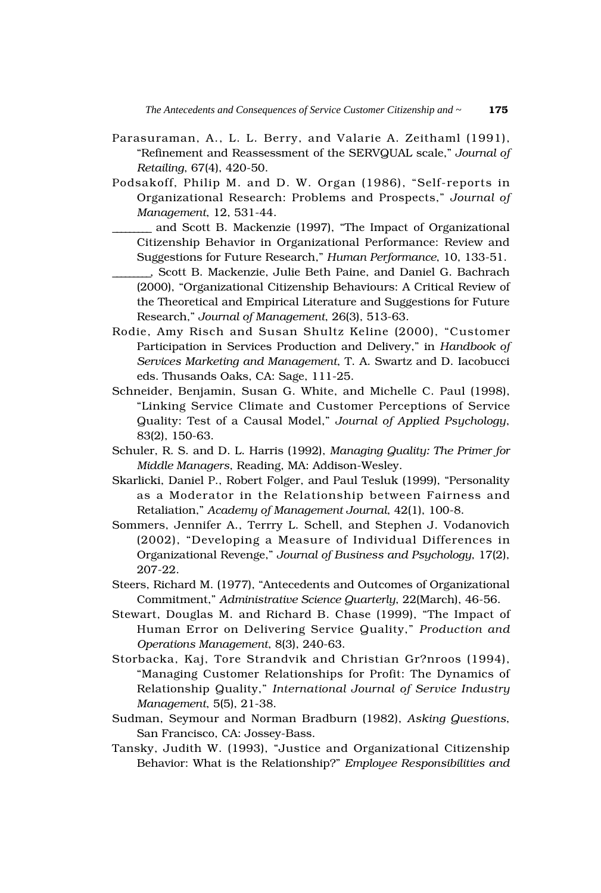- Parasuraman, A., L. L. Berry, and Valarie A. Zeithaml (1991), "Refinement and Reassessment of the SERVQUAL scale," *Journal of Retailing*, 67(4), 420-50.
- Podsakoff, Philip M. and D. W. Organ (1986), "Self-reports in Organizational Research: Problems and Prospects," *Journal of Management*, 12, 531-44.
	- \_\_\_\_\_\_\_\_\_ and Scott B. Mackenzie (1997), "The Impact of Organizational Citizenship Behavior in Organizational Performance: Review and Suggestions for Future Research," *Human Performance*, 10, 133-51.
	- \_\_\_\_\_\_\_\_\_, Scott B. Mackenzie, Julie Beth Paine, and Daniel G. Bachrach (2000), "Organizational Citizenship Behaviours: A Critical Review of the Theoretical and Empirical Literature and Suggestions for Future Research," *Journal of Management*, 26(3), 513-63.
- Rodie, Amy Risch and Susan Shultz Keline (2000), "Customer Participation in Services Production and Delivery," in *Handbook of Services Marketing and Management*, T. A. Swartz and D. Iacobucci eds. Thusands Oaks, CA: Sage, 111-25.
- Schneider, Benjamin, Susan G. White, and Michelle C. Paul (1998), "Linking Service Climate and Customer Perceptions of Service Quality: Test of a Causal Model," *Journal of Applied Psychology*, 83(2), 150-63.
- Schuler, R. S. and D. L. Harris (1992), *Managing Quality: The Primer for Middle Managers*, Reading, MA: Addison-Wesley.
- Skarlicki, Daniel P., Robert Folger, and Paul Tesluk (1999), "Personality as a Moderator in the Relationship between Fairness and Retaliation," *Academy of Management Journal*, 42(1), 100-8.
- Sommers, Jennifer A., Terrry L. Schell, and Stephen J. Vodanovich (2002), "Developing a Measure of Individual Differences in Organizational Revenge," *Journal of Business and Psychology*, 17(2), 207-22.
- Steers, Richard M. (1977), "Antecedents and Outcomes of Organizational Commitment," *Administrative Science Quarterly*, 22(March), 46-56.
- Stewart, Douglas M. and Richard B. Chase (1999), "The Impact of Human Error on Delivering Service Quality," *Production and Operations Management*, 8(3), 240-63.
- Storbacka, Kaj, Tore Strandvik and Christian Gr?nroos (1994), "Managing Customer Relationships for Profit: The Dynamics of Relationship Quality," *International Journal of Service Industry Management*, 5(5), 21-38.
- Sudman, Seymour and Norman Bradburn (1982), *Asking Questions*, San Francisco, CA: Jossey-Bass.
- Tansky, Judith W. (1993), "Justice and Organizational Citizenship Behavior: What is the Relationship?" *Employee Responsibilities and*